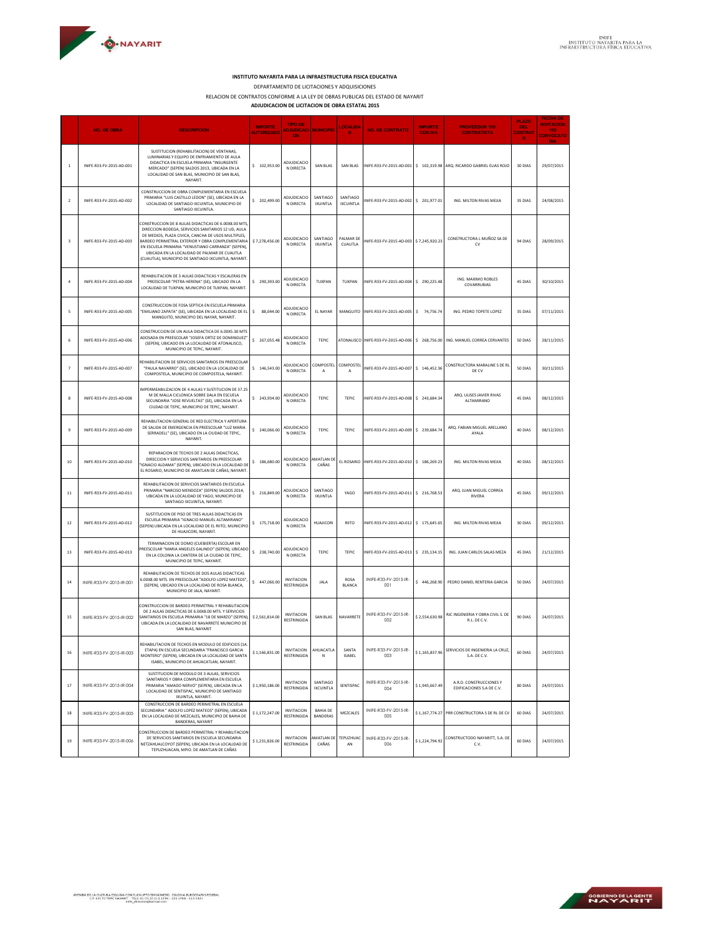

## **INSTITUTO NAYARITA PARA LA INFRAESTRUCTURA FISICA EDUCATIVA**

DEPARTAMENTO DE LICITACIONES Y ADQUISICIONES

RELACION DE CONTRATOS CONFORME A LA LEY DE OBRAS PUBLICAS DEL ESTADO DE NAYARIT **ADJUDICACION DE LICITACION DE OBRA ESTATAL 2015**

|                         | <b>NO. DE OBRA</b>       | <b>DESCRIPCION</b>                                                                                                                                                                                                                                                                                                                                                               | <b>IMPORTE</b><br><b>AUTORIZADO</b> | TIPO DE<br>ADJUDICACI MUNICIPIO<br>ON   |                                    | <b>LOCALIDA</b><br>D         | <b>NO. DE CONTRATO</b>                            | <b>IMPORTE</b><br><b>CON IVA</b> | <b>PROVEEDOR Y/O</b><br><b>CONTRATISTA</b>           | <b>PLAZO</b><br><b>DEI</b><br><b>CONTRAT</b><br>$\bullet$ | <b>FECHA DE</b><br><b>INVITACION</b><br>Y/O<br>CONVOCATO |
|-------------------------|--------------------------|----------------------------------------------------------------------------------------------------------------------------------------------------------------------------------------------------------------------------------------------------------------------------------------------------------------------------------------------------------------------------------|-------------------------------------|-----------------------------------------|------------------------------------|------------------------------|---------------------------------------------------|----------------------------------|------------------------------------------------------|-----------------------------------------------------------|----------------------------------------------------------|
| $\mathbf{1}$            | INIFE-R33-FV-2015-AD-001 | SUSTITUCION (REHABILITACION) DE VENTANAS,<br>LUMINARIAS Y EQUIPO DE ENFRIAMIENTO DE AULA<br>DIDACTICA EN ESCUELA PRIMARIA "INSURGENTE<br>MERCADO" (SEPEN) SALDOS 2013. UBICADA EN LA<br>LOCALIDAD DE SAN BLAS, MUNICIPIO DE SAN BLAS,<br>NAYARIT.                                                                                                                                | \$102,953.00                        | ADJUDICACIO<br>N DIRECTA                | <b>SAN BLAS</b>                    | <b>SAN BLAS</b>              | NIFE-R33-FV-2015-AD-001                           | \$102,319.98                     | ARQ. RICARDO GABRIEL ELIAS ROJO                      | 30 DIAS                                                   | 29/07/2015                                               |
| $\overline{2}$          | INIFE-R33-FV-2015-AD-002 | CONSTRUCCION DE OBRA COMPLEMENTARIA EN ESCUELA<br>PRIMARIA "LUIS CASTILLO LEDON" (SE), UBICADA EN LA<br>LOCALIDAD DE SANTIAGO IXCUINTLA, MUNICIPIO DE<br>SANTIAGO IXCUINTLA.                                                                                                                                                                                                     | \$202,499.00                        | ADJUDICACIO<br>N DIRECTA                | SANTIAGO<br><b>IXUINTLA</b>        | SANTIAGO<br><b>IXCUINTLA</b> | NIFE-R33-FV-2015-AD-002 \$ 201,977.01             |                                  | ING. MILTON RIVAS MEJIA                              | 35 DIAS                                                   | 24/08/2015                                               |
| $\overline{\mathbf{3}}$ | INIFE-R33-FV-2015-AD-003 | CONSTRUCCION DE 8 AULAS DIDACTICAS DE 6.00X8.00 MTS<br>DIRECCION-BODEGA, SERVICIOS SANITARIOS 12 UD, AULA<br>DE MEDIOS, PLAZA CIVICA, CANCHA DE USOS MULTIPLES,<br>BARDEO PERIMETRAL EXTERIOR Y OBRA COMPLEMENTARIA<br>EN ESCUELA PRIMARIA "VENUSTIANO CARRANZA" (SEPEN),<br>UBICADA EN LA LOCALIDAD DE PALMAR DE CUAUTLA<br>(CUAUTLA), MUNICIPIO DE SANTIAGO IXCUINTLA, NAYARIT | \$7,278,456.00                      | ADJUDICACIO<br>N DIRECTA                | SANTIAGO<br><b>IXUINTLA</b>        | PALMAR DE<br>CUAUTLA         | NIFE-R33-FV-2015-AD-003 \$7,245,920.23            |                                  | CONSTRUCTORA L MUÑOZ SA DE<br>CV                     | 94 DIAS                                                   | 28/09/2015                                               |
| $\overline{a}$          | INIFE-R33-FV-2015-AD-004 | REHABILITACION DE 3 AULAS DIDACTICAS Y ESCALERAS EN<br>PREESCOLAR "PETRA HERENA" (SE), URICADO EN LA<br>LOCALIDAD DE TUXPAN, MUNICIPIO DE TUXPAN, NAYARIT.                                                                                                                                                                                                                       | \$290,393.00                        | ADJUDICACIO<br>N DIRECTA                | TUXPAN                             | TUXPAN                       | INIFE-R33-FV-2015-AD-004 \$ 290,225.48            |                                  | ING. MAXIMO ROBLES<br>COVARRUBIAS                    | 45 DIAS                                                   | 30/10/2015                                               |
| 5                       | INIFE-R33-FV-2015-AD-005 | CONSTRUCCION DE FOSA SEPTICA EN ESCUELA PRIMARIA<br>"EMILIANO ZAPATA" (SE), UBICADA EN LA LOCALIDAD DE EL<br>MANGUITO, MUNICIPIO DEL NAYAR, NAYARIT.                                                                                                                                                                                                                             | \$<br>88,044.00                     | ADJUDICACIO<br>N DIRECTA                | EL NAYAR                           | MANGUITO                     | INIFE-R33-FV-2015-AD-005                          | $5$ 74,756.74                    | ING. PEDRO TOPETE LOPEZ                              | 35 DIAS                                                   | 07/11/2015                                               |
| 6                       | INIFE-R33-FV-2015-AD-006 | CONSTRUCCION DE UN AULA DIDACTICA DE 6.00X5.30 MTS<br>ADOSADA EN PREESCOLAR "JOSEFA ORTIZ DE DOMINGUEZ'<br>(SEPEN), UBICADO EN LA LOCALIDAD DE ATONALISCO,<br>MUNICIPIO DE TEPIC, NAYARIT,                                                                                                                                                                                       | \$267,055.48                        | ADJUDICACIO<br>N DIRECTA                | <b>TEPIC</b>                       |                              | ATONALISCO INIFE-R33-FV-2015-AD-006 \$ 268,756.00 |                                  | ING. MANUEL CORREA CERVANTES                         | 50 DIAS                                                   | 28/11/2015                                               |
| $\overline{7}$          | INIFE-R33-FV-2015-AD-007 | REHABILITACION DE SERVICIOS SANITARIOS EN PREESCOLAR<br>"PAULA NAVARRO" (SE), UBICADO EN LA LOCALIDAD DE<br>COMPOSTELA, MUNICIPIO DE COMPOSTELA, NAYARIT.                                                                                                                                                                                                                        | 146,543.00<br>\$                    | ADJUDICACIO<br>N DIRECTA                | COMPOSTEL<br>A                     | COMPOSTEI<br>A               | NIFE-R33-FV-2015-AD-007                           | \$146,452.36                     | CONSTRUCTORA MARALINE S DE R<br>DE CV                | 50 DIAS                                                   | 30/11/2015                                               |
| 8                       | INIFE-R33-FV-2015-AD-008 | IMPERMEABILIZACION DE 4 AULAS Y SUSTITUCION DE 37.25<br>M DE MALLA CICLONICA SORRE DALA EN ESCUELA<br>SECUNDARIA "JOSE REVUELTAS" (SE), UBICADA EN LA<br>CIUDAD DE TEPIC, MUNICIPIO DE TEPIC, NAYARIT.                                                                                                                                                                           | \$243,934.00                        | ADJUDICACIO<br>N DIRECTA                | TEPIC                              | TEPIC                        | INIFE-R33-FV-2015-AD-008 \$ 243,684.34            |                                  | ARQ. ULISES JAVIER RIVAS<br><b>ALTAMIRANO</b>        | 45 DIAS                                                   | 08/12/2015                                               |
| $\overline{9}$          | INIFE-R33-FV-2015-AD-009 | REHARILITACION GENERAL DE RED ELECTRICA Y APERTURA<br>DE SALIDA DE EMERGENCIA EN PREESCOLAR "LUZ MARIA<br>SERRADELL" (SE), UBICADO EN LA CIUDAD DE TEPIC.<br>NAYARIT.                                                                                                                                                                                                            | \$240,066.00                        | ADJUDICACIO<br>N DIRECTA                | TEPIC                              | TEPIC                        | INIFE-R33-FV-2015-AD-009 \$ 239,684.74            |                                  | ARO. FABIAN MIGUEL ARELLANO<br>AYALA                 | 40 DIAS                                                   | 08/12/2015                                               |
| $10\,$                  | INIFE-R33-FV-2015-AD-010 | REPARACION DE TECHOS DE 2 AULAS DIDACTICAS.<br>DIRECCION Y SERVICIOS SANITARIOS EN PREESCOLAR<br>'IGNACIO ALDAMA" (SEPEN), UBICADO EN LA LOCALIDAD DE<br>EL ROSARIO, MUNICIPIO DE AMATLAN DE CAÑAS, NAYARIT.                                                                                                                                                                     | \$186,680.00                        | ADJUDICACIO<br>N DIRECTA                | AMATLAN DE<br>CAÑAS                | EL ROSARIO                   | INIFE-R33-FV-2015-AD-010 \$ 186,269.23            |                                  | ING. MILTON RIVAS MEJIA                              | 40 DIAS                                                   | 08/12/2015                                               |
| 11                      | INIFE-R33-FV-2015-AD-011 | REHABILITACION DE SERVICIOS SANITARIOS EN ESCUELA<br>PRIMARIA "NARCISO MENDOZA" (SEPEN) SALDOS 2014,<br>UBICADA EN LA LOCALIDAD DE YAGO, MUNICIPIO DE<br>SANTIAGO IXCUINTLA, NAYARIT.                                                                                                                                                                                            | \$216,849.00                        | ADJUDICACIO<br>N DIRECTA                | SANTIAGO<br><b>IXUINTLA</b>        | YAGO                         | INIFE-R33-FV-2015-AD-011                          | \$216,768.53                     | ARQ. JUAN MIGUEL CORREA<br><b>RIVERA</b>             | 45 DIAS                                                   | 09/12/2015                                               |
| 12                      | INIFE-R33-FV-2015-AD-012 | SUSTITUCION DE PISO DE TRES AULAS DIDACTICAS EN<br>ESCUELA PRIMARIA "IGNACIO MANUEL ALTAMIRANO"<br>(SEPEN) UBICADA EN LA LOCALIDAD DE EL RIITO, MUNICIPIO<br>DE HUAJICORI, NAYARIT.                                                                                                                                                                                              | \$175,718.00                        | ADJUDICACIO<br>N DIRECTA                | <b>HUAJICORI</b>                   | RIITO                        | INIFE-R33-FV-2015-AD-012 \$ 175,645.65            |                                  | ING. MILTON RIVAS MEJIA                              | 30 DIAS                                                   | 09/12/2015                                               |
| $13\,$                  | INIFE-R33-FV-2015-AD-013 | TERMINACION DE DOMO (CUEBIERTA) ESCOLAR EN<br>REESCOLAR "MARIA ANGELES GALINDO" (SEPEN), UBICADO<br>EN LA COLONIA LA CANTERA DE LA CIUDAD DE TEPIC,<br>MUNICIPIO DE TEPIC, NAYARIT.                                                                                                                                                                                              | \$238,740.00                        | ADJUDICACIO<br>N DIRECTA                | <b>TEPIC</b>                       | TEPIC                        | INIFE-R33-FV-2015-AD-013                          | \$235,134.15                     | ING. JUAN CARLOS SALAS MEZA                          | 45 DIAS                                                   | 21/12/2015                                               |
| 14                      | INIFE-R33-FV-2015-IR-001 | REHABILITACION DE TECHOS DE DOS AULAS DIDACTICAS<br>5.00X8.00 MTS. EN PREESCOLAR "ADOLFO LOPEZ MATEOS"<br>(SEPEN), UBICADO EN LA LOCALIDAD DE ROSA BLANCA,<br>MUNICIPIO DE JALA, NAYARIT.                                                                                                                                                                                        | \$447.066.00                        | <b>INVITACION</b><br><b>RESTRINGIDA</b> | JALA                               | <b>ROSA</b><br>BLANCA        | INIFE-R33-FV-2015-IR<br>001                       | \$446,268.90                     | PEDRO DANIEL RENTERIA GARCIA                         | 50 DIAS                                                   | 24/07/2015                                               |
| 15                      | INIFE-R33-FV-2015-IR-002 | ONSTRUCCION DE BARDEO PERIMETRAL Y REHABILITACION<br>DE 2 AULAS DIDACTICAS DE 6.00X8.00 MTS. Y SERVICIOS<br>ANITARIOS EN ESCUELA PRIMARIA "18 DE MARZO" (SEPEN).<br>UBICADA EN LA LOCALIDAD DE NAVARRETE MUNICIPIO DE<br>SAN BLAS, NAYARIT                                                                                                                                       | \$2,561,814.00                      | <b>INVITACION</b><br><b>RESTRINGIDA</b> | <b>SAN BLAS</b>                    | NAVARRETE                    | INIFE-R33-FV-2015-IR-<br>002                      | \$2,554,630.98                   | RJC INGENIERIA Y OBRA CIVIL S. DE<br><b>RIDECV</b>   | 90 DIAS                                                   | 24/07/2015                                               |
| 16                      | INIFE-R33-FV-2015-IR-003 | REHABILITACIÓN DE TECHOS EN MODULO DE EDIFICIOS (1A<br>ETAPA) EN ESCUELA SECUNDARIA "FRANCISCO GARCIA<br>MONTERO" (SEPEN), UBICADA EN LA LOCALIDAD DE SANTA<br>ISABEL, MUNICIPIO DE AHUACATLAN, NAYARIT.                                                                                                                                                                         | \$1,166,831.00                      | <b>INVITACION</b><br><b>RESTRINGIDA</b> | AHUACATLA<br>$\mathbb N$           | SANTA<br><b>ISABEL</b>       | INIFE-R33-FV-2015-IR-<br>003                      | \$1,165,837.96                   | SERVICIOS DE INGENIERIA LA CRUZ,<br>S.A. DE C.V.     | 60 DIAS                                                   | 24/07/2015                                               |
| 17                      | INIFE-R33-FV-2015-IR-004 | SUSTITUCION DE MODULO DE 3 AULAS, SERVICIOS<br>SANITARIOS Y OBRA COMPLEMENTARIA EN ESCUELA<br>PRIMARIA "AMADO NERVO" (SEPEN), URICADA EN LA<br>LOCALIDAD DE SENTISPAC, MUNICIPIO DE SANTIAGO<br>IXUINTLA, NAYARIT.                                                                                                                                                               | \$1,950,186.00                      | <b>INVITACION</b><br><b>RESTRINGIDA</b> | SANTIAGO<br><b>IXCUINTLA</b>       | SENTISPAC                    | INIFE-R33-FV-2015-IR-<br>004                      | \$1,945,667.49                   | A.R.D. CONSTRUCCIONES Y<br>EDIFICACIONES S.A DE C.V. | 80 DIAS                                                   | 24/07/2015                                               |
| 18                      | INIFE-R33-FV-2015-IR-005 | CONSTRUCCION DE BARDEO PERIMETRAL EN ESCUELA<br>SECUNDARIA " ADOLFO LOPEZ MATEOS" (SEPEN), UBICADA<br>EN LA LOCALIDAD DE MEZCALES. MUNICIPIO DE BAHIA DE<br>BANDERAS, NAYARIT                                                                                                                                                                                                    | \$1,172,247.00                      | <b>INVITACION</b><br><b>RESTRINGIDA</b> | <b>BAHIA DE</b><br><b>BANDERAS</b> | MEZCALES                     | INIFE-R33-FV-2015-IR-<br>005                      | \$1,167,774.27                   | PRR CONSTRUCTORA S DE RL DE CV                       | 60 DIAS                                                   | 24/07/2015                                               |
| 19                      | INIFE-R33-FV-2015-IR-006 | CONSTRUCCION DE BARDEO PERIMETRAL Y REHABILITACION<br>DE SERVICIOS SANITARIOS EN ESCUELA SECUNDARIA<br>NETZAHUAI COYOT (SEPEN) LIRICADA EN LA LOCALIDAD DE<br>TEPUZHUACAN, MPIO. DE AMATLAN DE CAÑAS                                                                                                                                                                             | \$1,231,826.00                      | <b>INVITACION</b><br><b>RESTRINGIDA</b> | CAÑAS                              | AMATLAN DE TEPUZHUAC<br>AN   | INIFE-R33-FV-2015-IR-<br>006                      | \$1,224,794.92                   | CONSTRUCTODO NAYARITT, S.A. DE<br>C.V.               | 60 DIAS                                                   | 24/07/2015                                               |

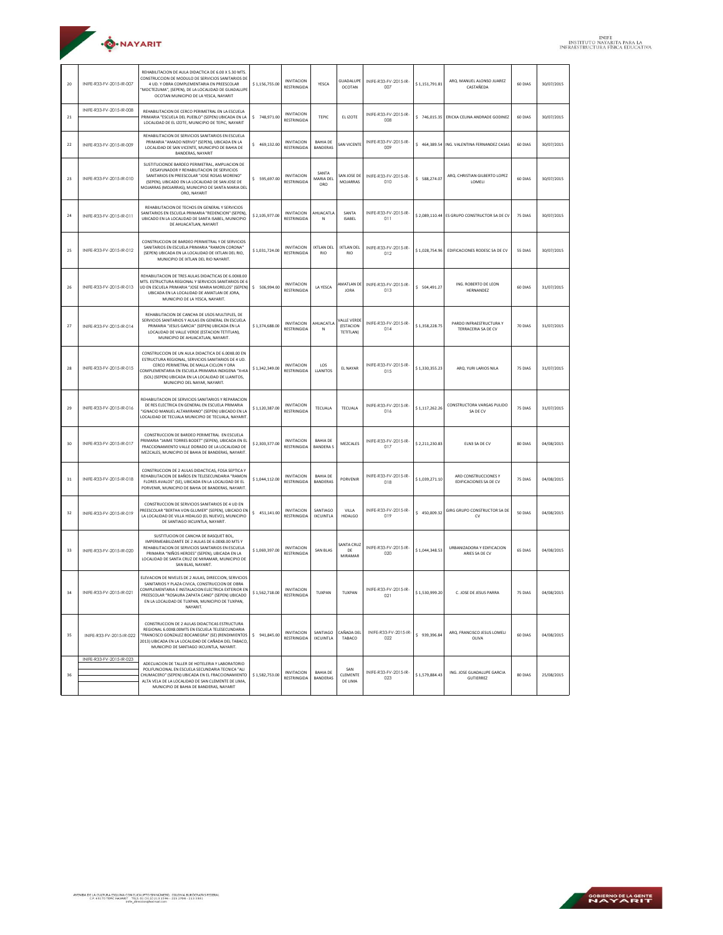

| 20        | INIFE-R33-FV-2015-IR-007 | REHABILITACION DE AULA DIDACTICA DE 6.00 X 5.30 MTS.<br>CONSTRUCCION DE MODULO DE SERVICIOS SANITARIOS DE<br>4 UD. Y OBRA COMPLEMENTARIA EN PREESCOLAR<br>"MOCTEZUMA", (SEPEN), DE LA LOCALIDAD DE GUADALUPE<br>OCOTAN MUNICIPIO DE LA YESCA, NAYARIT                                        | \$1,156,755.00 | <b>INVITACION</b><br><b>RESTRINGIDA</b> | YESCA                              | <b>GUADALUPE</b><br><b>OCOTAN</b>           | INIFE-R33-FV-2015-IR-<br>007 | \$1,151,791.81 | ARQ. MANUEL ALONSO JUAREZ<br>CASTAÑEDA         | 60 DIAS | 30/07/2015 |
|-----------|--------------------------|----------------------------------------------------------------------------------------------------------------------------------------------------------------------------------------------------------------------------------------------------------------------------------------------|----------------|-----------------------------------------|------------------------------------|---------------------------------------------|------------------------------|----------------|------------------------------------------------|---------|------------|
| $\bf{21}$ | INIFE-R33-FV-2015-IR-008 | REHABILITACION DE CERCO PERIMETRAL EN LA ESCUELA<br>PRIMARIA "ESCUELA DEL PUEBLO" (SEPEN) UBICADA EN LA<br>LOCALIDAD DE EL IZOTE, MUNICIPIO DE TEPIC, NAYARIT                                                                                                                                | \$748,971.00   | <b>INVITACION</b><br><b>RESTRINGIDA</b> | <b>TEPIC</b>                       | EL IZOTE                                    | INIFE-R33-FV-2015-IR-<br>008 | \$746,015.35   | ERICKA CELINA ANDRADE GODINEZ                  | 60 DIAS | 30/07/2015 |
| 22        | INIFE-R33-FV-2015-IR-009 | REHABILITACION DE SERVICIOS SANITARIOS EN ESCUELA<br>PRIMARIA "AMADO NERVO" (SEPEN), UBICADA EN LA<br>LOCALIDAD DE SAN VICENTE. MUNICIPIO DE BAHIA DE<br>BANDERAS, NAYARIT                                                                                                                   | \$469,132.00   | <b>INVITACION</b><br><b>RESTRINGIDA</b> | <b>BAHIA DE</b><br><b>BANDERAS</b> | AN VICENTI                                  | INIFE-R33-FV-2015-IR-<br>009 |                | \$464,389.54 ING. VALENTINA FERNANDEZ CASAS    | 60 DIAS | 30/07/2015 |
| 23        | INIFE-R33-FV-2015-IR-010 | SUSTITUCIONDE BARDEO PERIMETRAL, AMPLIACION DE<br>DESAYUNADOR Y REHABILITACION DE SERVICIOS<br>SANITARIOS EN PREESCOLAR "JOSE ROSAS MORENO"<br>(SEPEN), UBICADO EN LA LOCALIDAD DE SAN JOSE DE<br>MOJARRAS (MOJARRAS). MUNICIPIO DE SANTA MARIA DEL<br>ORO, NAYARIT                          | \$595,697.00   | <b>INVITACION</b><br><b>RESTRINGIDA</b> | SANTA<br>MARIA DEI<br>ORO          | SAN JOSE DE<br>MOJARRAS                     | INIFE-R33-FV-2015-IR-<br>010 | \$ 588,274.07  | ARQ. CHRISTIAN GILBERTO LOPEZ<br>LOMELI        | 60 DIAS | 30/07/2015 |
| 24        | INIFE-R33-FV-2015-IR-011 | REHABILITACION DE TECHOS EN GENERAL Y SERVICIOS<br>SANITARIOS EN ESCUELA PRIMARIA "REDENCION" (SEPEN).<br>UBICADO EN LA LOCALIDAD DE SANTA ISABEL, MUNICIPIO<br>DE AHUACATLAN, NAYARIT                                                                                                       | \$2,105,977.00 | <b>INVITACION</b><br><b>RESTRINGIDA</b> | AHUACATLA<br>Ν                     | SANTA<br><b>ISABEL</b>                      | INIFE-R33-FV-2015-IR-<br>011 |                | \$ 2.089.110.44 ES GRUPO CONSTRUCTOR SA DE CV  | 75 DIAS | 30/07/2015 |
| 25        | INIFE-R33-FV-2015-IR-012 | CONSTRUCCION DE BARDEO PERIMETRAL Y DE SERVICIOS<br>SANITARIOS EN ESCUELA PRIMARIA "RAMON CORONA"<br>(SEPEN) UBICADA EN LA LOCALIDAD DE IXTLAN DEL RIO,<br>MUNICIPIO DE IXTLAN DEL RIO NAYARIT.                                                                                              | \$1.031.724.00 | <b>INVITACION</b><br><b>RESTRINGIDA</b> | <b>IXTLAN DEL</b><br><b>RIO</b>    | <b>IXTLAN DEL</b><br><b>RIO</b>             | INIFE-R33-FV-2015-IR-<br>012 | \$1.028.754.96 | EDIFICACIONES RODESC SA DE CV                  | 55 DIAS | 30/07/2015 |
| 26        | INIFE-R33-FV-2015-IR-013 | REHABILITACION DE TRES AULAS DIDACTICAS DE 6.00X8.00<br>MTS. ESTRUCTURA REGIONAL Y SERVICIOS SANITARIOS DE 6<br>UD EN ESCUELA PRIMARIA "JOSE MARIA MORELOS" (SEPEN)<br>UBICADA EN LA LOCALIDAD DE AMATLAN DE JORA,<br>MUNICIPIO DE LA YESCA, NAYARIT.                                        | \$ 506,994.00  | <b>INVITACION</b><br><b>RESTRINGIDA</b> | LA YESCA                           | MATLAN DE<br><b>JORA</b>                    | INIFE-R33-FV-2015-IR-<br>013 | \$504,491.27   | ING. ROBERTO DE LEON<br>HERNANDEZ              | 60 DIAS | 31/07/2015 |
| 27        | INIFE-R33-FV-2015-IR-014 | REHABILITACION DE CANCHA DE USOS MULTIPLES, DE<br>SERVICIOS SANITARIOS Y AULAS EN GENERAL EN ESCUELA<br>PRIMARIA "JESUS GARCIA" (SEPEN) UBICADA EN LA<br>LOCALIDAD DE VALLE VERDE (ESTACIÓN TETITLAN).<br>MUNICIPIO DE AHUACATLAN, NAYARIT.                                                  | \$1,374,688.00 | <b>INVITACION</b><br><b>RESTRINGIDA</b> | AHUACATLA<br>N                     | ALLE VERDE<br>(ESTACION<br><b>TETITLANI</b> | INIFE-R33-FV-2015-IR-<br>014 | \$1,358,228.75 | PARDO INFRAESTRUCTURA Y<br>TERRACERIA SA DE CV | 70 DIAS | 31/07/2015 |
| 28        | INIFE-R33-FV-2015-IR-015 | CONSTRUCCION DE UN AULA DIDACTICA DE 6.00X8.00 EN<br>ESTRUCTURA REGIONAL, SERVICIOS SANITARIOS DE 4 UD<br>CERCO PERIMETRAL DE MALLA CICLON Y ORA<br>COMPLEMENTARIA EN ESCUELA PRIMARIA INDIGENA "X+KA<br>(SOL) (SEPEN) UBICADA EN LA LOCALIDAD DE LLANITOS,<br>MUNICIPIO DEL NAYAR, NAYARIT. | \$1,342,349.00 | <b>INVITACION</b><br><b>RESTRINGIDA</b> | LOS<br>LLANITOS                    | EL NAYAR                                    | INIFE-R33-FV-2015-IR-<br>015 | \$1,330,355.23 | ARQ. YURI LARIOS NILA                          | 75 DIAS | 31/07/2015 |
| 29        | INIFE-R33-FV-2015-IR-016 | REHABILITACION DE SERVICIOS SANITARIOS Y REPARACION<br>DE RES ELECTRICA EN GENERAL EN ESCUELA PRIMARIA<br>"IGNACIO MANUEL ALTAMIRANO" (SEPEN) UBICADO EN LA<br>LOCALIDAD DE TECUALA MUNICIPIO DE TECUALA, NAYARIT.                                                                           | \$1,120,387.00 | <b>INVITACION</b><br><b>RESTRINGIDA</b> | <b>TECUALA</b>                     | <b>TECUALA</b>                              | INIFE-R33-FV-2015-IR-<br>016 | \$1,117,262.26 | CONSTRUCTORA VARGAS PULIDO<br>SA DE CV         | 75 DIAS | 31/07/2015 |
| 30        | INIFE-R33-FV-2015-IR-017 | CONSTRUCCION DE BARDEO PERIMETRAL EN ESCUELA<br>PRIMARIA "JAIME TORRES BODET" (SEPEN), UBICADA EN EL<br>FRACCIONAMIENTO VALLE DORADO DE LA LOCALIDAD DE<br>MEZCALES, MUNICIPIO DE BAHIA DE BANDERAS, NAYARIT.                                                                                | \$2,303,377.00 | INVITACION<br><b>RESTRINGIDA</b>        | <b>BAHIA DE</b><br><b>BANDERAS</b> | MEZCALES                                    | INIFE-R33-FV-2015-IR-<br>017 | \$2,211,230.83 | ELN3 SA DE CV                                  | 80 DIAS | 04/08/2015 |
| 31        | INIFE-R33-FV-2015-IR-018 | CONSTRUCCION DE 2 AULAS DIDACTICAS, FOSA SEPTICA Y<br>REHABILITACION DE BAÑOS EN TELESECUNDARIA "RAMON<br>FLORES AVALOS" (SE), UBICADA EN LA LOCALIDAD DE EL<br>PORVENIR, MUNICIPIO DE BAHIA DE BANDERAS, NAYARIT.                                                                           | \$1,044,112.00 | INVITACION<br>RESTRINGIDA               | <b>BAHIA DE</b><br>BANDERAS        | PORVENIR                                    | INIFE-R33-FV-2015-IR-<br>018 | \$1,039,271.10 | ARD CONSTRUCCIONES Y<br>EDIFICACIONES SA DE CV | 75 DIAS | 04/08/2015 |
| 32        | INIFE-R33-FV-2015-IR-019 | CONSTRUCCION DE SERVICIOS SANITARIOS DE 4 UD EN<br>REESCOLAR "BERTHA VON GLUMER" (SEPEN), UBICADO EN<br>LA LOCALIDAD DE VILLA HIDALGO (EL NUEVO), MUNICIPIO<br>DE SANTIAGO IXCUINTLA, NAYARIT.                                                                                               | \$451,141.00   | <b>INVITACION</b><br><b>RESTRINGIDA</b> | SANTIAGO<br><b>IXCUINTLA</b>       | VILLA<br><b>HIDALGO</b>                     | INIFE-R33-FV-2015-IR-<br>019 | \$450,009.32   | GIRG GRUPO CONSTRUCTOR SA DE<br><b>CV</b>      | 50 DIAS | 04/08/2015 |
| 33        | INIFE-R33-FV-2015-IR-020 | SUSTITUCION DE CANCHA DE BASQUET BOL,<br>IMPERMEABILIZANTE DE 2 AULAS DE 6.00X8.00 MTS<br>REHABILITACION DE SERVICIOS SANITARIOS EN ESCUELA<br>PRIMARIA "NIÑOS HEROES" (SEPEN), UBICADA EN LA<br>LOCALIDAD DE SANTA CRUZ DE MIRAMAR, MUNICIPIO DE<br>SAN BLAS, NAYARIT.                      | \$1,069,397.00 | <b>INVITACION</b><br><b>RESTRINGIDA</b> | <b>SAN BLAS</b>                    | SANTA CRUZ<br>DE<br>MIRAMAR                 | INIFE-R33-FV-2015-IR-<br>020 | \$1.044.348.53 | URBANIZADORA Y EDIFICACION<br>ARIES SA DE CV   | 65 DIAS | 04/08/2015 |
| 34        | INIFE-R33-FV-2015-IR-021 | FLEVACION DE NIVELES DE 2 AULAS, DIRECCION, SERVICIOS<br>SANITARIOS Y PLAZA CIVICA, CONSTRUCCION DE OBRA<br>COMPLEMENTARIA E INSTALACION ELECTRICA EXTERIOR EN<br>PREESCOLAR "ROSAURA ZAPATA CANO" (SEPEN) UBICADO<br>EN LA LOCALIDAD DE TUXPAN, MUNICIPIO DE TUXPAN,<br>NAYARIT.            | \$1,562,718.00 | <b>INVITACION</b><br>RESTRINGIDA        | TUXPAN                             | TUXPAN                                      | INIFE-R33-FV-2015-IR-<br>021 | \$1,530,999.20 | C. JOSE DE JESUS PARRA                         | 75 DIAS | 04/08/2015 |
| 35        | INIFE-R33-FV-2015-IR-022 | CONSTRUCCION DE 2 AULAS DIDACTICAS ESTRUCTURA<br>REGIONAL 6 00X8 00MTS EN ESCUELA TELESECUNDARIA<br>"FRANCISCO GONZALEZ BOCANEGRA" (SE) (RENDIMIENTOS<br>2013) UBICADA EN LA LOCALIDAD DE CAÑADA DEL TABACO,<br>MUNICIPIO DE SANTIAGO IXCUINTLA, NAYARIT.                                    | \$941,845.00   | <b>INVITACION</b><br><b>RESTRINGIDA</b> | SANTIAGO<br><b>IXCUINTLA</b>       | CAÑADA DEL<br>TABACO                        | INIFE-R33-FV-2015-IR-<br>022 | \$939,396.84   | ARQ. FRANCISCO JESUS LOMELI<br>OLIVA           | 60 DIAS | 04/08/2015 |
|           | INIFE-R33-FV-2015-IR-023 | ADECUACION DE TALLER DE HOTELERIA Y LABORATORIO                                                                                                                                                                                                                                              |                |                                         |                                    |                                             |                              |                |                                                |         |            |
| 36        |                          | POLIFUNCIONAL EN ESCUELA SECUNDARIA TECNICA "ALI<br>CHUMACERO" (SEPEN) URICADA EN EL ERACCIONAMIENTO<br>ALTA VELA DE LA LOCALIDAD DE SAN CLEMENTE DE LIMA.<br>MUNICIPIO DE BAHIA DE BANDERAS, NAYARIT                                                                                        | \$1,582,753.00 | <b>INVITACION</b><br>RESTRINGIDA        | <b>BAHIA DE</b><br><b>BANDERAS</b> | SAN<br>CLEMENTE<br>DE LIMA                  | INIFE-R33-FV-2015-IR-<br>023 | \$1.579.884.43 | ING. JOSE GUADALUPE GARCIA<br>GUTIERREZ        | 80 DIAS | 25/08/2015 |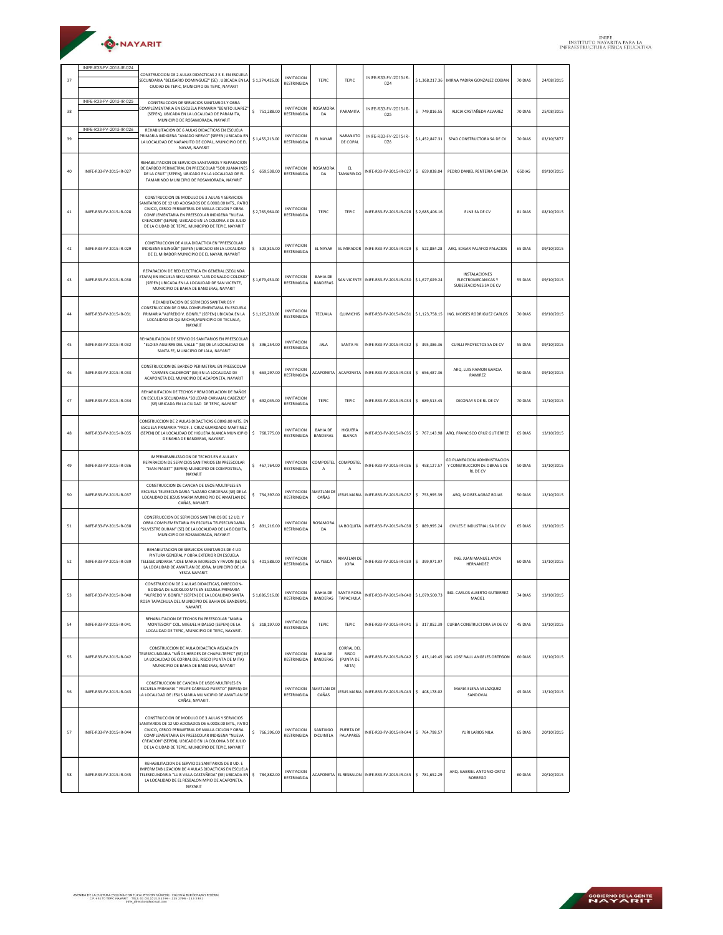| ·O·NAYARIT |  |
|------------|--|
|            |  |

| 37 | INIFE-R33-FV-2015-IR-024 | CONSTRUCCION DE 2 AULAS DIDACTICAS 2 E.E. EN ESCUELA<br>SECUNDARIA "BELISARIO DOMINGUEZ" (SE), UBICADA EN LA<br>CIUDAD DE TEPIC, MUNICIPIO DE TEPIC, NAYARIT                                                                                                                                                           | \$1,374,426.00 | <b>INVITACION</b><br><b>RESTRINGIDA</b> | TEPIC                              | TEPIC                                            | INIFE-R33-FV-2015-IR-<br>024                                 |                | \$1,368,217.36 MIRNA YADIRA GONZALEZ COBIAN                                     | 70 DIAS | 24/08/2015 |
|----|--------------------------|------------------------------------------------------------------------------------------------------------------------------------------------------------------------------------------------------------------------------------------------------------------------------------------------------------------------|----------------|-----------------------------------------|------------------------------------|--------------------------------------------------|--------------------------------------------------------------|----------------|---------------------------------------------------------------------------------|---------|------------|
| 38 | INIFE-R33-FV-2015-IR-025 | CONSTRUCCION DE SERVICIOS SANITARIOS Y OBRA<br>COMPLEMENTARIA EN ESCUELA PRIMARIA "BENITO JUAREZ"<br>(SEPEN), UBICADA EN LA LOCALIDAD DE PARAMITA,<br>MUNICIPIO DE ROSAMORADA, NAYARIT                                                                                                                                 | \$751,288.00   | <b>INVITACION</b><br>RESTRINGIDA        | <b>ROSAMORA</b><br>DA              | PARAMITA                                         | INIFE-R33-FV-2015-IR-<br>025                                 | \$749,816.55   | ALICIA CASTAÑEDA ALVAREZ                                                        | 70 DIAS | 25/08/2015 |
| 39 | INIFE-R33-FV-2015-IR-026 | REHABILITACION DE 6 AULAS DIDACTICAS EN ESCUELA<br>RIMARIA INDIGENA "AMADO NERVO" (SEPEN) UBICADA EN<br>LA LOCALIDAD DE NARANJITO DE COPAL, MUNICIPIO DE EL<br>NAYAR, NAYARIT                                                                                                                                          | \$1,455,213.00 | <b>INVITACION</b><br><b>RESTRINGIDA</b> | <b>FI NAYAR</b>                    | NARANJITO<br>DE COPAL                            | INIFE-R33-FV-2015-IR-<br>026                                 | \$1,452,847.31 | SPAD CONSTRUCTORA SA DE CV                                                      | 70 DIAS | 03/10/5877 |
| 40 | INIFE-R33-FV-2015-IR-027 | REHABILITACION DE SERVICIOS SANITARIOS Y REPARACION<br>DE BARDEO PERIMETRAL EN PREESCOLAR "SOR JUANA INES<br>DE LA CRUZ" (SEPEN), UBICADO EN LA LOCALIDAD DE EL<br>TAMARINDO MUNICIPIO DE ROSAMORADA, NAYARIT                                                                                                          | \$659,538.00   | <b>INVITACION</b><br><b>RESTRINGIDA</b> | ROSAMORA<br>DA                     | EL.<br>TAMARINDO                                 | INIFE-R33-FV-2015-IR-027                                     | \$ 659,038.04  | PEDRO DANIEL RENTERIA GARCIA                                                    | 65DIAS  | 09/10/2015 |
| 41 | INIFE-R33-FV-2015-IR-028 | CONSTRUCCION DE MODULO DE 3 AULAS Y SERVICIOS<br>SANITARIOS DE 12 UD ADOSADOS DE 6.00X8.00 MTS., PATIO<br>CIVICO, CERCO PERIMETRAL DE MALLA CICLON Y OBRA<br>COMPLEMENTARIA EN PREESCOLAR INDIGENA "NUEVA<br>CREACION" (SEPEN), UBICADO EN LA COLONIA 3 DE JULIO<br>DE LA CIUDAD DE TEPIC, MUNICIPIO DE TEPIC, NAYARIT | \$2,765,964.00 | <b>INVITACION</b><br><b>RESTRINGIDA</b> | <b>TEPIC</b>                       | TEPIC                                            | INIFE-R33-FV-2015-IR-028 \$2,685,406.16                      |                | ELN3 SA DE CV                                                                   | 81 DIAS | 08/10/2015 |
| 42 | INIFE-R33-FV-2015-IR-029 | CONSTRUCCION DE AULA DIDACTICA EN "PREESCOLAR<br>INDIGENA BILINGÜE" (SEPEN) UBICADO EN LA LOCALIDAD<br>DE EL MIRADOR MUNICIPIO DE EL NAYAR, NAYARIT                                                                                                                                                                    | \$523,815.00   | <b>INVITACION</b><br>RESTRINGIDA        | EL NAYAR                           |                                                  | EL MIRADOR   INIFE-R33-FV-2015-IR-029                        | \$522,884.28   | ARO, EDGAR PALAFOX PALACIOS                                                     | 65 DIAS | 09/10/2015 |
| 43 | INIFE-R33-FV-2015-IR-030 | REPARACION DE RED ELECTRICA EN GENERAL (SEGUNDA<br>TAPA) EN ESCUELA SECUNDARIA "LUIS DONALDO COLOSIO"<br>(SEPEN) UBICADA EN LA LOCALIDAD DE SAN VICENTE,<br>MUNICIPIO DE BAHIA DE BANDERAS, NAYARIT                                                                                                                    | \$1,679,454.00 | <b>INVITACION</b><br><b>RESTRINGIDA</b> | <b>BAHIA DE</b><br><b>BANDERAS</b> |                                                  | SAN VICENTE INIFE-R33-FV-2015-IR-030                         | \$1,677,029.24 | <b>INSTALACIONES</b><br>ELECTROMECANICAS Y<br>SUBESTACIONES SA DE CV            | 55 DIAS | 09/10/2015 |
| 44 | INIFF-R33-FV-2015-IR-031 | REHABILITACION DE SERVICIOS SANITARIOS Y<br>CONSTRUCCION DE OBRA COMPLEMENTARIA EN ESCUELA<br>PRIMARIA "ALFREDO V. BONFIL" (SEPEN) UBICADA EN LA<br>LOCALIDAD DE QUIMICHIS, MUNICIPIO DE TECUALA,<br>NAYARIT                                                                                                           | \$1,125,233.00 | <b>INVITACION</b><br><b>RESTRINGIDA</b> | <b>TECUALA</b>                     |                                                  | QUIMICHIS   INIFE-R33-FV-2015-IR-031                         | \$1,123,758.15 | ING. MOISES RODRIGUEZ CARLOS                                                    | 70 DIAS | 09/10/2015 |
| 45 | INIFE-R33-FV-2015-IR-032 | REHABILITACION DE SERVICIOS SANITARIOS EN PREESCOLAR<br>"ELOISA AGUIRRE DEL VALLE " (SE) DE LA LOCALIDAD DE<br>SANTA FE, MUNICIPIO DE JALA, NAYARIT                                                                                                                                                                    | \$396,254.00   | <b>INVITACION</b><br><b>RESTRINGIDA</b> | JALA                               | <b>SANTA FE</b>                                  | INIFE-R33-FV-2015-IR-032                                     | \$ 395,386.36  | CUALLI PROYECTOS SA DE CV                                                       | 55 DIAS | 09/10/2015 |
| 46 | INIFF-R33-FV-2015-IR-033 | CONSTRUCCION DE BARDEO PERIMETRAL EN PREESCOLAR<br>"CARMEN CALDERON" (SE) EN LA LOCALIDAD DE<br>ACAPONETA DEL MUNICIPIO DE ACAPONETA, NAYARIT                                                                                                                                                                          | \$663,297.00   | <b>INVITACION</b><br><b>RESTRINGIDA</b> | <b>ACAPONETA</b>                   | <b>ACAPONETA</b>                                 | INIFE-R33-FV-2015-IR-033                                     | \$ 656,487.36  | ARQ. LUIS RAMON GARCIA<br>RAMIREZ                                               | 50 DIAS | 09/10/2015 |
| 47 | INIFE-R33-FV-2015-IR-034 | REHABILITACION DE TECHOS Y REMODELACION DE BAÑOS<br>EN ESCUELA SECUNDARIA "SOLEDAD CARVAJAL CABEZUD"<br>(SE) UBICADA EN LA CIUDAD DE TEPIC, NAYARIT                                                                                                                                                                    | \$692,045.00   | <b>INVITACION</b><br><b>RESTRINGIDA</b> | <b>TEPIC</b>                       | TEPIC                                            | INIFE-R33-FV-2015-IR-034                                     | \$ 689,513.45  | DICONAY S DE RL DE CV                                                           | 70 DIAS | 12/10/2015 |
| 48 | INIFE-R33-FV-2015-IR-035 | CONSTRUCCION DE 2 AULAS DIDACTICAS 6.00X8.00 MTS. EN<br>ESCUELA PRIMARIA "PROF. J. CRUZ GUARDADO MARTINEZ<br>(SEPEN) DE LA LOCALIDAD DE HIGUERA BLANCA MUNICIPIO<br>DE BAHIA DE BANDERAS, NAYARIT.                                                                                                                     | \$768,775.00   | <b>INVITACION</b><br>RESTRINGIDA        | <b>BAHIA DE</b><br>BANDERAS        | <b>HIGUERA</b><br><b>BLANCA</b>                  | INIFE-R33-FV-2015-IR-035                                     |                | \$767,143.98 ARQ. FRANCISCO CRUZ GUTIERREZ                                      | 65 DIAS | 13/10/2015 |
| 49 | INIFE-R33-FV-2015-IR-036 | IMPERMEABILIZACION DE TECHOS EN 6 AULAS Y<br>REPARACION DE SERVICIOS SANITARIOS EN PREESCOLAR<br>"JEAN PIAGET" (SEPEN) MUNICIPIO DE COMPOSTELA,<br>NAYARIT                                                                                                                                                             | \$467,764.00   | <b>INVITACION</b><br><b>RESTRINGIDA</b> | COMPOSTEL<br>Α                     | COMPOSTEI<br>А                                   | INIFE-R33-FV-2015-IR-036                                     | \$458,127.57   | <b>GD PLANEACION ADMINISTRACION</b><br>Y CONSTRUCCION DE OBRAS S DE<br>RL DE CV | 50 DIAS | 13/10/2015 |
| 50 | INIFE-R33-FV-2015-IR-037 | CONSTRUCCION DE CANCHA DE USOS MULTIPLES EN<br>ESCUELA TELESECUNDARIA "LAZARO CARDENAS (SE) DE LA<br>LOCALIDAD DE JESUS MARIA MUNICIPIO DE AMATLAN DE<br>CAÑAS, NAYARIT.                                                                                                                                               | \$754,397.00   | <b>INVITACION</b><br><b>RESTRINGIDA</b> | AMATLAN DI<br>CAÑAS                |                                                  | JESUS MARIA INIFE-R33-FV-2015-IR-037                         | \$753,995.39   | ARO. MOISES AGRAZ ROJAS                                                         | 50 DIAS | 13/10/2015 |
| 51 | INIFE-R33-FV-2015-IR-038 | CONSTRUCCION DE SERVICIOS SANITARIOS DE 12 UD. Y<br>ORRA COMPLEMENTARIA EN ESCUELA TELESECUNDARIA<br>"SILVESTRE DURAN" (SE) DE LA LOCALIDAD DE LA BOQUITA.<br>MUNICIPIO DE ROSAMORADA, NAYARIT                                                                                                                         | \$891,216.00   | <b>INVITACION</b><br><b>RESTRINGIDA</b> | ROSAMORA<br>DA                     |                                                  | LA BOQUITA   INIFE-R33-FV-2015-IR-038                        | \$889,995.24   | CIVILES E INDUSTRIAL SA DE CV                                                   | 65 DIAS | 13/10/2015 |
| 52 | INIFE-R33-FV-2015-IR-039 | REHABILITACION DE SERVICIOS SANITARIOS DE 4 UD<br>PINTURA GENERAL Y OBRA EXTERIOR EN ESCUELA<br>TELESECUNDARIA "JOSE MARIA MORELOS Y PAVON (SE) DE<br>LA LOCALIDAD DE AMATLAN DE JORA, MUNICIPIO DE LA<br>YESCA NAYARIT.                                                                                               | \$401,588.00   | <b>INVITACION</b><br><b>RESTRINGIDA</b> | LA YESCA                           | AMATLAN DE<br><b>JORA</b>                        | INIFE-R33-FV-2015-IR-039                                     | \$ 399,971.97  | ING ILIAN MANUEL AYON<br>HERNANDEZ                                              | 60 DIAS | 13/10/2015 |
| 53 | INIFE-R33-FV-2015-IR-040 | CONSTRUCCION DE 2 AULAS DIDACTICAS, DIRECCION-<br>BODEGA DE 6.00X8.00 MTS EN ESCUELA PRIMARIA<br>"ALFREDO V. BONFIL" (SEPEN) DE LA LOCALIDAD SANTA<br>ROSA TAPACHULA DEL MUNICIPIO DE BAHIA DE BANDERAS,<br>NAYARIT.                                                                                                   | \$1,086,516.00 | <b>INVITACION</b><br>RESTRINGIDA        |                                    | BAHIA DE SANTA ROSA<br>BANDERAS TAPACHULA        | INIFE-R33-FV-2015-IR-040 \$1,079,500.73                      |                | ING. CARLOS ALBERTO GUTIERREZ<br>MACIEL                                         | 74 DIAS | 13/10/2015 |
| 54 | INIFE-R33-FV-2015-IR-041 | REHABILITACION DE TECHOS EN PREESCOLAR "MARIA<br>MONTESORI" COL. MIGUEL HIDALGO (SEPEN) DE LA<br>LOCALIDAD DE TEPIC, MUNICIPIO DE TEPIC, NAYARIT.                                                                                                                                                                      | \$318,197.00   | <b>INVITACION</b><br><b>RESTRINGIDA</b> | TEPIC                              | TEPIC                                            |                                                              |                | INIFE-R33-FV-2015-IR-041   \$ 317,052.39 CURBA CONSTRUCTORA SA DE CV            | 45 DIAS | 13/10/2015 |
| 55 | INIFE-R33-FV-2015-IR-042 | CONSTRUCCION DE AULA DIDACTICA AISLADA EN<br>TELESECUNDARIA "NIÑOS HEROES DE CHAPULTEPEC" (SE) DE<br>LA LOCALIDAD DE CORRAL DEL RISCO (PUNTA DE MITA)<br>MUNICIPIO DE BAHIA DE BANDERAS, NAYARIT                                                                                                                       |                | <b>INVITACION</b><br><b>RESTRINGIDA</b> | <b>BAHIA DE</b><br><b>BANDERAS</b> | CORRAL DEI<br><b>RISCO</b><br>(PUNTA DE<br>MITA) |                                                              |                | INIFE-R33-FV-2015-IR-042 \$ 415,149.45 ING. JOSE RAUL ANGELES ORTEGON           | 60 DIAS | 13/10/2015 |
| 56 | INIFE-R33-FV-2015-IR-043 | CONSTRUCCION DE CANCHA DE USOS MULTIPLES EN<br>ESCUELA PRIMARIA " FELIPE CARRILLO PUERTO" (SEPEN) DE<br>LA LOCALIDAD DE JESUS MARIA MUNICIPIO DE AMATLAN DE<br>CAÑAS, NAYARIT.                                                                                                                                         |                | <b>INVITACION</b><br><b>RESTRINGIDA</b> | AMATLAN DE<br>CAÑAS                |                                                  | JESUS MARIA INIFE-R33-FV-2015-IR-043                         | \$408,178.02   | MARIA ELENA VELAZQUEZ<br>SANDOVAL                                               | 45 DIAS | 13/10/2015 |
| 57 | INIFE-R33-FV-2015-IR-044 | CONSTRUCCION DE MODULO DE 3 AULAS Y SERVICIOS<br>ANITARIOS DE 12 UD ADOSADOS DE 6.00X8.00 MTS., PATIO<br>CIVICO, CERCO PERIMETRAL DE MALLA CICLON Y OBRA<br>COMPLEMENTARIA EN PREESCOLAR INDIGENA "NUEVA<br>CREACION" (SEPEN), UBICADO EN LA COLONIA 3 DE JULIO<br>DE LA CIUDAD DE TEPIC, MUNICIPIO DE TEPIC, NAYARIT  | \$766,396.00   | <b>INVITACION</b><br><b>RESTRINGIDA</b> | SANTIAGO<br><b>IXCUINTLA</b>       | PUERTA DE<br><b>PALAPARES</b>                    | INIFE-R33-FV-2015-IR-044 \$764,798.57                        |                | YURI LARIOS NILA                                                                | 65 DIAS | 20/10/2015 |
| 58 | INIFE-R33-FV-2015-IR-045 | REHABILITACION DE SERVICIOS SANITARIOS DE 8 UD. E<br>IMPERMEABILIZACION DE 4 AULAS DIDACTICAS EN ESCUELA<br>TELESECUNDARIA "LUIS VILLA CASTAÑEDA" (SE) UBICADA EN<br>LA LOCALIDAD DE EL RESBALON MPIO DE ACAPONETA,<br>NAYARIT                                                                                         | \$784,882.00   | <b>INVITACION</b><br>RESTRINGIDA        |                                    |                                                  | ACAPONETA EL RESBALON INIFE-R33-FV-2015-IR-045 \$ 781,652.29 |                | ARQ. GABRIEL ANTONIO ORTIZ<br><b>BORREGO</b>                                    | 60 DIAS | 20/10/2015 |

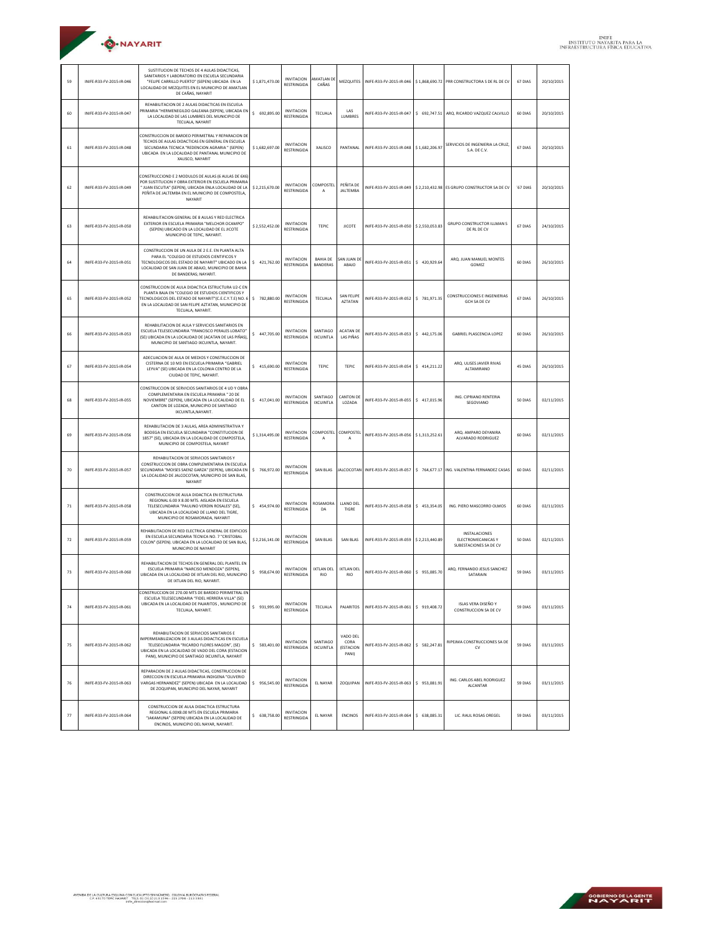| ·O·NAYARIT |  |
|------------|--|
|            |  |

| 59 | INIFE-R33-FV-2015-IR-046 | SUSTITUCION DE TECHOS DE 4 AULAS DIDACTICAS,<br>SANITARIOS Y LABORATORIO EN ESCUELA SECUNDARIA<br>"FELIPE CARRILLO PUERTO" (SEPEN) UBICADA EN LA<br>LOCALIDAD DE MEZQUITES EN EL MUNICIPIO DE AMATLAN<br>DE CAÑAS, NAYARIT                              | \$1,871,473.00 | <b>INVITACION</b><br><b>RESTRINGIDA</b> | AMATLAN D<br>CAÑAS                 | MEZQUITES                                     | INIFE-R33-FV-2015-IR-046 |                | \$1,868,690.72 PRR CONSTRUCTORA S DE RL DE CV                 | 67 DIAS  | 20/10/2015 |
|----|--------------------------|---------------------------------------------------------------------------------------------------------------------------------------------------------------------------------------------------------------------------------------------------------|----------------|-----------------------------------------|------------------------------------|-----------------------------------------------|--------------------------|----------------|---------------------------------------------------------------|----------|------------|
| 60 | INIFE-R33-FV-2015-IR-047 | REHABILITACION DE 2 AULAS DIDACTICAS EN ESCUELA<br>PRIMARIA "HERMENEGILDO GALEANA (SEPEN), UBICADA EN<br>LA LOCALIDAD DE LAS LUMBRES DEL MUNICIPIO DE<br>TECUALA, NAYARIT                                                                               | \$ 692,895.00  | <b>INVITACION</b><br><b>RESTRINGIDA</b> | TECUALA                            | LAS<br><b>LUMBRES</b>                         | INIFE-R33-FV-2015-IR-047 |                | \$692,747.51 ARQ. RICARDO VAZQUEZ CALVILLO                    | 60 DIAS  | 20/10/2015 |
| 61 | INIFE-R33-FV-2015-IR-048 | CONSTRUCCION DE BARDEO PERIMETRAL Y REPARACION DE<br>TECHOS DE AULAS DIDACTICAS EN GENERAL EN ESCUELA<br>SECUNDARIA TECNICA "REDENCION AGRARIA " (SEPEN)<br>UBICADA EN LA LOCALIDAD DE PANTANAL MUNICIPIO DE<br>XALISCO, NAYARIT                        | \$1,682,697.00 | <b>INVITACION</b><br><b>RESTRINGIDA</b> | XALISCO                            | PANTANAL                                      | INIFE-R33-FV-2015-IR-048 | \$1,682,206.97 | SERVICIOS DE INGENIERIA LA CRUZ,<br>S.A. DE C.V.              | 67 DIAS  | 20/10/2015 |
| 62 | INIFE-R33-FV-2015-IR-049 | CONSTRUCCIOND E 2 MODULOS DE AULAS (6 AULAS DE 6X6)<br>POR SUSTITUCION Y OBRA EXTERIOR EN ESCUELA PRIMARIA<br>"JUAN ESCUTIA" (SEPEN), UBICADA ENLA LOCALIDAD DE LA<br>PEÑITA DE JALTEMBA EN EL MUNICIPIO DE COMPOSTELA,<br>NAYARIT                      | \$2,215,670.00 | <b>INVITACION</b><br><b>RESTRINGIDA</b> | COMPOSTEL<br>А                     | PEÑITA DE<br><b>JALTEMBA</b>                  | INIFE-R33-FV-2015-IR-049 |                | \$ 2,210,432.98 ES GRUPO CONSTRUCTOR SA DE CV                 | '67 DIAS | 20/10/2015 |
| 63 | INIFE-R33-FV-2015-IR-050 | REHABILITACION GENERAL DE 8 AULAS Y RED ELECTRICA<br>EXTERIOR EN ESCUELA PRIMARIA "MELCHOR OCAMPO"<br>(SEPEN) UBICADO EN LA LOCALIDAD DE EL JICOTE<br>MUNICIPIO DE TEPIC, NAYARIT.                                                                      | \$2,552,452.00 | <b>INVITACION</b><br><b>RESTRINGIDA</b> | <b>TEPIC</b>                       | <b>JICOTE</b>                                 | INIFE-R33-FV-2015-IR-050 | \$2,550,053.83 | <b>GRUPO CONSTRUCTOR ILLMAN S</b><br>DE RL DE CV              | 67 DIAS  | 24/10/2015 |
| 64 | INIFE-R33-FV-2015-IR-051 | CONSTRUCCION DE UN AULA DE 2 E.E. EN PLANTA ALTA<br>PARA EL "COLEGIO DE ESTUDIOS CIENTIFICOS Y<br>TECNOLOGICOS DEL ESTADO DE NAYARIT" UBICADO EN LA<br>LOCALIDAD DE SAN JUAN DE ABAJO, MUNICIPIO DE BAHIA<br>DE BANDERAS; NAYARIT.                      | \$421,762.00   | <b>INVITACION</b><br><b>RESTRINGIDA</b> | <b>BAHIA DE</b><br><b>BANDERAS</b> | AN JUAN DI<br>ABAJO                           | INIFE-R33-FV-2015-IR-051 | \$420,929.64   | ARQ. JUAN MANUEL MONTES<br>GOMEZ                              | 60 DIAS  | 26/10/2015 |
| 65 | INIFE-R33-FV-2015-IR-052 | CONSTRUCCION DE AULA DIDACTICA ESTRUCTURA U2-C EN<br>PLANTA BAJA EN "COLEGIO DE ESTUDIOS CIENTIFICOS Y<br>TECNOLOGICOS DEL ESTADO DE NAYARIT"(C.E.C.Y.T.E) NO. 6<br>EN LA LOCALIDAD DE SAN FELIPE AZTATAN, MUNICIPIO DE<br>TECUALA, NAYARIT.            | \$782,880.00   | <b>INVITACION</b><br><b>RESTRINGIDA</b> | TECUALA                            | SAN FFI IPF<br><b>AZTATAN</b>                 | INIFE-R33-FV-2015-IR-052 | \$781,971.35   | <b>CONSTRUCCIONES E INGENIERIAS</b><br><b>GCH SA DE CV</b>    | 67 DIAS  | 26/10/2015 |
| 66 | INIFE-R33-FV-2015-IR-053 | REHABILITACION DE AULA Y SERVICIOS SANITARIOS EN<br>ESCUELA TELESECUNDARIA "FRANCISCO PERALES LOBATO"<br>(SE) UBICADA EN LA LOCALIDAD DE (ACATAN DE LAS PIÑAS),<br>MUNICIPIO DE SANTIAGO IXCUINTLA, NAYARIT.                                            | \$447,705.00   | <b>INVITACION</b><br><b>RESTRINGIDA</b> | SANTIAGO<br><b>IXCUINTLA</b>       | <b>ACATAN DE</b><br>LAS PIÑAS                 | INIFE-R33-FV-2015-IR-053 | \$442,175.06   | <b>GABRIEL PLASCENCIA LOPEZ</b>                               | 60 DIAS  | 26/10/2015 |
| 67 | INIFE-R33-FV-2015-IR-054 | ADECUACION DE AULA DE MEDIOS Y CONSTRUCCION DE<br>CISTERNA DE 10 M3 EN ESCUELA PRIMARIA "GABRIEL<br>LEYVA" (SE) UBICADA EN LA COLONIA CENTRO DE LA<br>CIUDAD DE TEPIC, NAYARIT.                                                                         | \$415,690.00   | <b>INVITACION</b><br><b>RESTRINGIDA</b> | <b>TEPIC</b>                       | <b>TEPIC</b>                                  | INIFE-R33-FV-2015-IR-054 | \$414,211.22   | ARQ. ULISES JAVIER RIVAS<br>ALTAMIRANO                        | 45 DIAS  | 26/10/2015 |
| 68 | INIFE-R33-FV-2015-IR-055 | CONSTRUCCION DE SERVICIOS SANITARIOS DE 4 UD Y OBRA<br>COMPLEMENTARIA EN ESCUELA PRIMARIA "20 DE<br>NOVIEMBRE" (SEPEN), UBICADA EN LA LOCALIDAD DE EL<br>CANTON DE LOZADA, MUNICIPIO DE SANTIAGO<br>IXCUINTLA, NAYARIT.                                 | \$417.041.00   | <b>INVITACION</b><br><b>RESTRINGIDA</b> | SANTIAGO<br><b>IXCUINTLA</b>       | <b>CANTON DE</b><br>LOZADA                    | INIFE-R33-FV-2015-IR-055 | \$417,015.96   | ING. CIPRIANO RENTERIA<br>SEGOVIANO                           | 50 DIAS  | 02/11/2015 |
| 69 | INIFE-R33-FV-2015-IR-056 | REHABILITACION DE 3 AULAS, AREA ADMINISTRATIVA Y<br>BODEGA EN ESCUELA SECUNDARIA "CONSTITUCION DE<br>1857" (SE), UBICADA EN LA LOCALIDAD DE COMPOSTELA,<br>MUNICIPIO DE COMPOSTELA, NAYARIT                                                             | \$1,314,495.00 | <b>INVITACION</b><br><b>RESTRINGIDA</b> | COMPOSTEL<br>А                     | COMPOSTE<br>А                                 | INIFE-R33-FV-2015-IR-056 | \$1,313,252.61 | ARO, AMPARO DEYANIRA<br>ALVARADO RODRIGUEZ                    | 60 DIAS  | 02/11/2015 |
| 70 | INIFE-R33-FV-2015-IR-057 | REHABILITACION DE SERVICIOS SANITARIOS Y<br>CONSTRUCCION DE OBRA COMPLEMENTARIA EN ESCUELA<br>SECUNDARIA "MOISES SAENZ GARZA" (SEPEN), UBICADA EN<br>LA LOCALIDAD DE JALCOCOTAN, MUNICIPIO DE SAN BLAS<br>NAYARIT                                       | \$766,972.00   | <b>INVITACION</b><br><b>RESTRINGIDA</b> | <b>SAN BLAS</b>                    | <b>JALCOCOTAN</b>                             | INIFE-R33-FV-2015-IR-057 |                | \$764,677.17 ING. VALENTINA FERNANDEZ CASAS                   | 60 DIAS  | 02/11/2015 |
| 71 | INIFE-R33-FV-2015-IR-058 | CONSTRUCCION DE AULA DIDACTICA EN ESTRUCTURA<br>REGIONAL 6.00 X 8.00 MTS. AISLADA EN ESCUELA<br>TELESECUNDARIA "PAULINO VERDIN ROSALES" (SE),<br>UBICADA EN LA LOCALIDAD DE LLANO DEL TIGRE,<br>MUNICIPIO DE ROSAMORADA, NAYARIT                        | \$454,974.00   | <b>INVITACION</b><br><b>RESTRINGIDA</b> | ROSAMORA<br>DA                     | LLANO DEL<br>TIGRE                            | INIFE-R33-FV-2015-IR-058 | \$453,354.05   | ING. PIERO MASCORRO OLMOS                                     | 60 DIAS  | 02/11/2015 |
| 72 | INIFE-R33-FV-2015-IR-059 | REHABILITACION DE RED ELECTRICA GENERAL DE EDIFICIOS<br>EN ESCUELA SECUNDARIA TECNICA NO. 7 "CRISTOBAL<br>COLON" (SEPEN). UBICADA EN LA LOCALIDAD DE SAN BLAS,<br>MUNICIPIO DE NAYARIT                                                                  | \$2.216.141.00 | <b>INVITACION</b><br><b>RESTRINGIDA</b> | <b>SAN BLAS</b>                    | <b>SAN BLAS</b>                               | INIFE-R33-FV-2015-IR-059 | \$2,213,440.89 | INSTALACIONES<br>ELECTROMECANICAS Y<br>SUBESTACIONES SA DE CV | 50 DIAS  | 02/11/2015 |
| 73 | INIFE-R33-FV-2015-IR-060 | REHABILITACION DE TECHOS EN GENERAL DEL PLANTEL EN<br>ESCUELA PRIMARIA "NARCISO MENDOZA" (SEPEN),<br>UBICADA EN LA LOCALIDAD DE IXTLAN DEL RIO, MUNICIPIO<br>DE IXTI AN DEL RIO, NAYARIT.                                                               | \$958,674.00   | <b>INVITACION</b><br><b>RESTRINGIDA</b> | <b>IXTLAN DEL</b><br><b>RIO</b>    | <b>IXTLAN DEL</b><br><b>RIO</b>               | INIFE-R33-FV-2015-IR-060 | \$955,085,70   | ARQ. FERNANDO JESUS SANCHEZ<br>SATARAIN                       | 59 DIAS  | 03/11/2015 |
| 74 | INIFE-R33-FV-2015-IR-061 | ONSTRUCCION DE 270.00 MTS DE BARDEO PERIMETRAL EN<br>ESCUELA TELESECUNDARIA "FIDEL HERRERA VILLA" (SE)<br>UBICADA EN LA LOCALIDAD DE PAJARITOS, MUNICIPIO DE<br>TECUALA, NAYARIT.                                                                       | \$931,995.00   | <b>INVITACION</b><br><b>RESTRINGIDA</b> | <b>TECUALA</b>                     | PAJARITOS                                     | INIFF-R33-FV-2015-IR-061 | \$919,408.72   | <b>ISLAS VERA DISEÑO Y</b><br>CONSTRUCCION SA DE CV           | 59 DIAS  | 03/11/2015 |
| 75 | INIFE-R33-FV-2015-IR-062 | REHABILITACION DE SERVICIOS SANITARIOS E<br>IMPERMEARILIZACION DE 3 AUJAS DIDACTICAS EN ESCUELA<br>TELESECUNDARIA "RICARDO FLORES MAGON", (SE)<br>UBICADA EN LA LOCALIDAD DE VADO DEL CORA (ESTACION<br>PANI), MUNICIPIO DE SANTIAGO IXCUINTLA, NAYARIT | \$ 583,401.00  | <b>INVITACION</b><br><b>RESTRINGIDA</b> | SANTIAGO<br><b>IXCUINTLA</b>       | VADO DEL<br>CORA<br><b>(ESTACION</b><br>PANI) | INIFE-R33-FV-2015-IR-062 | \$582,247.81   | RIPEJMA CONSTRUCCIONES SA DE<br><b>CV</b>                     | 59 DIAS  | 03/11/2015 |
| 76 | INIFE-R33-FV-2015-IR-063 | REPARACION DE 2 AULAS DIDACTICAS. CONSTRUCCION DE<br>DIRECCION EN ESCUELA PRIMARIA INDIGENA "OLIVERIO<br>VARGAS HERNANDEZ" (SEPEN) UBICADA EN LA LOCALIDAD<br>DE ZOQUIPAN, MUNICIPIO DEL NAYAR, NAYARIT                                                 | \$956,545.00   | <b>INVITACION</b><br><b>RESTRINGIDA</b> | EL NAYAR                           | ZOQUIPAN                                      | INIFE-R33-FV-2015-IR-063 | \$953,081.91   | ING. CARLOS ABEL RODRIGUEZ<br><b>ALCANTAR</b>                 | 59 DIAS  | 03/11/2015 |
| 77 | INIFE-R33-FV-2015-IR-064 | CONSTRUCCION DE AULA DIDACTICA ESTRUCTURA<br>REGIONAL 6.00X8.00 MTS EN ESCUELA PRIMARIA<br>"JAKAMUNA" (SEPEN) UBICADA EN LA LOCALIDAD DE<br>ENCINOS. MUNICIPIO DEL NAYAR. NAYARIT.                                                                      | \$ 638,758.00  | <b>INVITACION</b><br><b>RESTRINGIDA</b> | EL NAYAR                           | <b>ENCINOS</b>                                | INIFE-R33-FV-2015-IR-064 | \$ 638,085.31  | LIC. RAUL ROSAS OREGEL                                        | 59 DIAS  | 03/11/2015 |

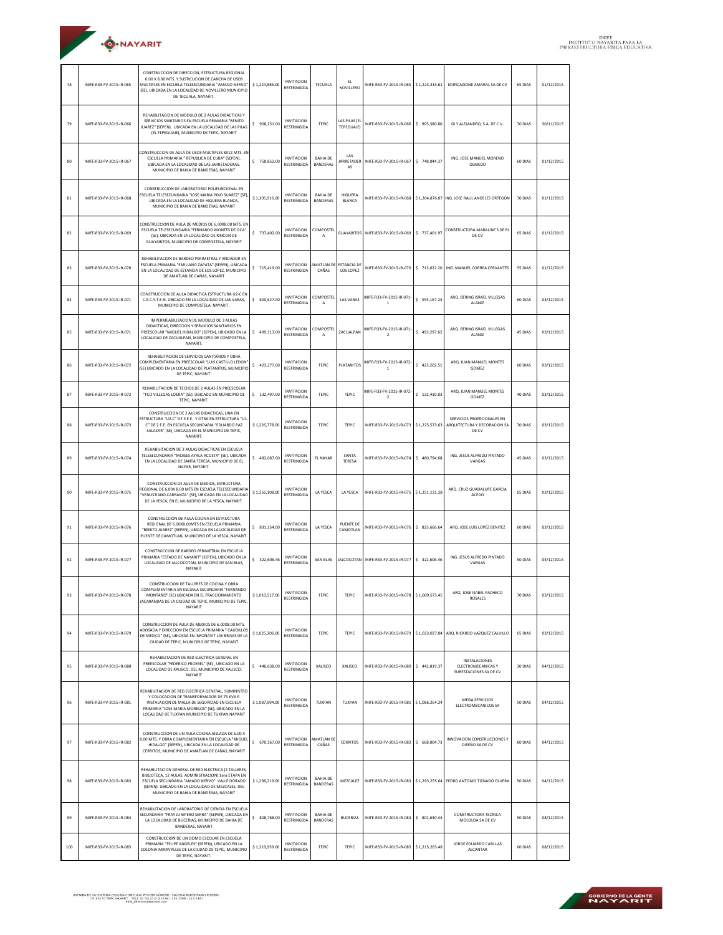| <b>O</b> ·NAYARIT |  |
|-------------------|--|
|                   |  |

| 78  | INIFE-R33-FV-2015-IR-065 | CONSTRUCCION DE DIRECCION, ESTRUCTURA REGIONAL<br>6.00 X 8.00 MTS. Y SUSTICUCION DE CANCHA DE USOS<br>MULTIPLES EN ESCUELA TELESECUNDARIA "AMADO NERVO"<br>(SE), UBICADA EN LA LOCALIDAD DE NOVILLERO MUNICIPIO<br>DE TECUALA, NAYARIT.                      | \$1,224,886.00 | <b>INVITACION</b><br>RESTRINGIDA        | <b>TECUALA</b>                     | EL.<br>NOVILLERO                | INIFF-R33-FV-2015-IR-065                    | \$1,223,315.61 | EDIFICAZIONE AMARAL SA DE CV                                          | 65 DIAS | 01/12/2015 |
|-----|--------------------------|--------------------------------------------------------------------------------------------------------------------------------------------------------------------------------------------------------------------------------------------------------------|----------------|-----------------------------------------|------------------------------------|---------------------------------|---------------------------------------------|----------------|-----------------------------------------------------------------------|---------|------------|
| 79  | INIFE-R33-FV-2015-IR-066 | REHABILITACION DE MODULO DE 2 AULAS DIDACTICAS Y<br>SERVICIOS SANITARIOS EN ESCUELA PRIMARIA "BENITO<br>JUAREZ" (SEPEN), UBICADA EN LA LOCALIDAD DE LAS PILAS<br>(EL TEPEGUAJE), MUNICIPIO DE TEPIC, NAYARIT                                                 | \$908,231.00   | <b>INVITACION</b><br><b>RESTRINGIDA</b> | TEPIC                              | LAS PILAS (E<br>TEPEGUAJE)      | INIFE-R33-FV-2015-IR-066                    | \$905,380.80   | GI Y ALEJANDRO, S.A. DE C.V.                                          | 70 DIAS | 30/11/2015 |
| 80  | INIFE-R33-FV-2015-IR-067 | CONSTRUCCION DE AULA DE USOS MULTIPLES 8X12 MTS. EN<br>ESCUELA PRIMARIA " REPUBLICA DE CUBA" (SEPEN),<br>UBICADA EN LA LOCALIDAD DE LAS JARRETADERAS.<br>MUNICIPIO DE BAHIA DE BANDERAS, NAYARIT                                                             | \$758,852.00   | <b>INVITACION</b><br><b>RESTRINGIDA</b> | <b>BAHIA DE</b><br><b>BANDERAS</b> | LAS<br><b>JARRETADER</b><br>AS  | INIFE-R33-FV-2015-IR-067                    | \$748,044.37   | ING. JOSE MANUEL MORENO<br>OLMEDO                                     | 60 DIAS | 01/12/2015 |
| 81  | INIFE-R33-FV-2015-IR-068 | CONSTRUCCION DE LARORATORIO POLIFUNCIONAL EN<br>SCUELA TELESECUNDARIA "JOSE MARIA PINO SUAREZ" (SE),<br>UBICADA EN LA LOCALIDAD DE HIGUERA BLANCA,<br>MUNICIPIO DE BAHIA DE BANDERAS, NAYARIT                                                                | \$1,205,916.00 | <b>INVITACION</b><br><b>RESTRINGIDA</b> | <b>BAHIA DE</b><br><b>BANDERAS</b> | <b>HIGUERA</b><br><b>BLANCA</b> | INIFF-R33-FV-2015-IR-068                    |                | \$1,204,876.07 ING. JOSE RAUL ANGELES ORTEGON                         | 70 DIAS | 01/12/2015 |
| 82  | INIFE-R33-FV-2015-IR-069 | CONSTRUCCION DE AULA DE MEDIOS DE 6.00X8.00 MTS. EN<br><b>ESCUELA TELESECUNDARIA "FERNANDO MONTES DE OCA"</b><br>(SE), UBICADA EN LA LOCALIDAD DE RINCON DE<br>GUAYABITOS, MUNICIPIO DE COMPOSTELA, NAYARIT                                                  | \$737,402.00   | <b>INVITACION</b><br><b>RESTRINGIDA</b> | COMPOSTEI<br>А                     |                                 | GUAYABITOS INIFE-R33-FV-2015-IR-069         | \$737,401.97   | CONSTRUCTORA MARALINE S DE RL<br>DE CV                                | 65 DIAS | 01/12/2015 |
| 83  | INIFE-R33-FV-2015-IR-070 | REHABILITACION DE BARDEO PERIMETRAL Y ANDADOR EN<br>ESCUELA PRIMARIA "EMILIANO ZAPATA" (SEPEN), UBICADA<br>EN LA LOCALIDAD DE ESTANCIA DE LOS LOPEZ, MUNICIPIO<br>DE AMATLAN DE CAÑAS, NAYARIT                                                               | \$715,419.00   | <b>INVITACION</b><br><b>RESTRINGIDA</b> | AMATLAN DE<br>CAÑAS                | <b>ESTANCIA DE</b><br>LOS LOPEZ | INIFE-R33-FV-2015-IR-070                    | \$713,622.20   | ING. MANUEL CORREA CERVANTES                                          | 55 DIAS | 01/12/2015 |
| 84  | INIFE-R33-FV-2015-IR-071 | CONSTRUCCION DE AULA DIDACTICA ESTRUCTURA U2-C EN<br>C.E.C.Y.T.E.N. UBICADO EN LA LOCALIDAD DE LAS VARAS.<br>MUNICIPIO DE COMPOSTELA, NAYARIT.                                                                                                               | \$600,627.00   | <b>INVITACION</b><br><b>RESTRINGIDA</b> | COMPOSTEI<br>А                     | <b>LAS VARAS</b>                | INIFE-R33-FV-2015-IR-071-<br>$\mathbf{1}$   | \$593,167.24   | ARO BERING ISRAEL VILLEGAS<br><b>ALANIZ</b>                           | 60 DIAS | 03/12/2015 |
| 85  | INIFE-R33-FV-2015-IR-071 | IMPERMEABILIZACIÓN DE MODULO DE 3 AULAS<br>DIDACTICAS, DIRECCION Y SERVICIOS SANITARIOS EN<br>PREESCOLAR "MIGUEL HIDALGO" (SEPEN), UBICADO EN LA<br>LOCALIDAD DE ZACUALPAN, MUNICIPIO DE COMPOSTELA<br>NAYARIT.                                              | \$499,313.00   | <b>INVITACION</b><br><b>RESTRINGIDA</b> | COMPOSTEI<br>А                     | ZACUALPAN                       | INIFE-R33-FV-2015-IR-071-<br>$\overline{2}$ | \$493,297.62   | ARQ, BERING ISRAEL VILLEGAS<br><b>ALANIZ</b>                          | 45 DIAS | 03/12/2015 |
| 86  | INIFE-R33-FV-2015-IR-072 | REHABILITACION DE SERVICIOS SANITARIOS Y OBRA<br>COMPLEMENTARIA EN PREESCOLAR "LUIS CASTILLO LEDON'<br>(SE) UBICADO EN LA LOCALIDAD DE PLATANITOS, MUNICIPIO<br>DE TEPIC, NAYARIT.                                                                           | \$423,277.00   | <b>INVITACION</b><br><b>RESTRINGIDA</b> | <b>TEPIC</b>                       | <b>PLATANITOS</b>               | INIFE-R33-FV-2015-IR-072-<br>$\mathbf{1}$   | \$423,202.51   | ARQ. JUAN MANUEL MONTES<br>GOMEZ                                      | 60 DIAS | 03/12/2015 |
| 87  | INIFE-R33-FV-2015-IR-072 | REHABILITACION DE TECHOS DE 2 AULAS EN PREESCOLAR<br>"FCO VILLEGAS LOERA" (SE), UBICADO EN MUNICIPIO DE<br>TEPIC, NAYARIT.                                                                                                                                   | \$132,497.00   | <b>INVITACION</b><br><b>RESTRINGIDA</b> | TEPIC                              | TEPIC                           | INIFE-R33-FV-2015-IR-072<br>$\mathbf 2$     | \$132,410.03   | ARO, JUAN MANUEL MONTES<br>GOMEZ                                      | 40 DIAS | 03/12/2015 |
| 88  | INIFE-R33-FV-2015-IR-073 | CONSTRUCCION DE 2 AULAS DIDACTICAS; UNA EN<br>STRUCTURA "U2-C" DE 3 E.E. Y OTRA EN ESTRUCTURA "U1-<br>C" DE 2 E.E. EN ESCUELA SECUNDARIA "EDUARDO PAZ<br>SALAZAR" (SE), UBICADA EN EL MUNICIPIO DE TEPIC,<br>NAYARIT.                                        | \$1,226,778.00 | <b>INVITACION</b><br>RESTRINGIDA        | <b>TEPIC</b>                       | TEPIC                           | INIFE-R33-FV-2015-IR-073 \$1,225,573.63     |                | SERVICIOS PROFECIONALES EN<br>ARQUITECTURA Y DECORACION SA<br>DE CV   | 70 DIAS | 03/12/2015 |
| 89  | INIFE-R33-FV-2015-IR-074 | REHABILITACION DE 3 AULAS DIDACTICAS EN ESCUELA<br>TELESECUNDARIA "MOISES AYALA ACOSTA" (SE), UBICADA<br>EN LA LOCALIDAD DE SANTA TERESA, MUNICIPIO DE EL<br>NAYAR, NAYARIT.                                                                                 | \$482.687.00   | <b>INVITACION</b><br><b>RESTRINGIDA</b> | <b>EL NAYAR</b>                    | SANTA<br><b>TERESA</b>          | INIFE-R33-FV-2015-IR-074                    | \$480,794.68   | ING. JESUS ALFREDO PINTADO<br>VARGAS                                  | 45 DIAS | 03/12/2015 |
| 90  | INIFE-R33-FV-2015-IR-075 | CONSTRUCCION DE AULA DE MEDIOS, ESTRUCTURA<br>REGIONAL DE 6.00X 8.00 MTS EN ESCUELA TELESECUNDARIA<br>"VENUSTIANO CARRANZA" (SE), UBICADA EN LA LOCALIDAD<br>DE LA YESCA, EN EL MUNICIPIO DE LA YESCA, NAYARIT.                                              | \$1,256,108.00 | <b>INVITACION</b><br><b>RESTRINGIDA</b> | LA YESCA                           | LA YESCA                        | INIFE-R33-FV-2015-IR-075 \$1,251,131.28     |                | ARQ. CRUZ GUADALUPE GARCIA<br>ACEDO                                   | 65 DIAS | 03/12/2015 |
| 91  | INIFE-R33-FV-2015-IR-076 | CONSTRUCCION DE AULA COCINA EN ESTRUCTURA<br>REGIONAL DE 6.00X8.00MTS EN ESCUELA PRIMARIA<br>"BENITO JUAREZ" (SEPEN), UBICADA EN LA LOCALIDAD DE<br>PUENTE DE CAMOTLAN, MUNICIPIO DE LA YESCA, NAYARIT.                                                      | \$ 831,154.00  | <b>INVITACION</b><br><b>RESTRINGIDA</b> | LA YESCA                           | PUENTE DE<br>CAMOTLAN           | INIFE-R33-FV-2015-IR-076                    | \$ 825,666.64  | ARQ. JOSE LUIS LOPEZ BENITEZ                                          | 60 DIAS | 03/12/2015 |
| 92  | INIFE-R33-FV-2015-IR-077 | CONSTRUCCION DE BARDEO PERIMETRAL EN ESCUELA<br>PRIMARIA "ESTADO DE NAYARIT" (SEPEN), UBICADO EN LA<br>LOCALIDAD DE JALCOCOTAN, MUNICIPIO DE SAN BLAS.<br>NAYARIT                                                                                            | \$322,606.46   | <b>INVITACION</b><br><b>RESTRINGIDA</b> | <b>SAN BLAS</b>                    |                                 | JALCOCOTAN INIFE-R33-FV-2015-IR-077         | \$ 322,606.46  | ING. JESUS ALFREDO PINTADO<br>VARGAS                                  | 50 DIAS | 04/12/2015 |
| 93  | INIFE-R33-FV-2015-IR-078 | CONSTRUCCION DE TALLERES DE COCINA Y OBRA<br>COMPLEMENTARIA EN ESCUELA SECUNDARIA "FERNANDO<br>MONTAÑO" (SE) UBICADA EN EL FRACCIONAMIENTO<br>JACARANDAS DE LA CIUDAD DE TEPIC, MUNICIPIO DE TEPIC,<br>NAYARIT                                               | \$1,010,517.00 | <b>INVITACION</b><br><b>RESTRINGIDA</b> | TEPIC                              | TEPIC                           | INIFE-R33-FV-2015-IR-078 \$1,009,573.45     |                | ARQ, JOSE ISABEL PACHECO<br><b>ROSALES</b>                            | 70 DIAS | 03/12/2015 |
| 94  | INIFE-R33-FV-2015-IR-079 | CONSTRUCCION DE AULA DE MEDIOS DE 6.00X8.00 MTS.<br>ADOSADA Y DIRECCION EN ESCUELA PRIMARIA " CAUDILLOS<br>DE MEXICO" (SE), UBICADA EN INFONAVIT LAS BRISAS DE LA<br>CIUDAD DE TEPIC, MUNICIPIO DE TEPIC, NAYARIT                                            | \$1,025,206.00 | <b>INVITACION</b><br><b>RESTRINGIDA</b> | TEPIC                              | <b>TEPIC</b>                    |                                             |                | INIFE-R33-FV-2015-IR-079 \$1.023.027.04 ARQ, RICARDO VAZQUEZ CALVILLO | 65 DIAS | 03/12/2015 |
| 95  | INIFE-R33-FV-2015-IR-080 | REHABILITACION DE RED ELECTRICA GENERAL EN<br>PREESCOLAR "FEDERICO FROEBEL" (SE), UBICADO EN LA<br>LOCALIDAD DE XALISCO, DEL MUNICIPIO DE XALISCO,<br>NAYARIT                                                                                                | \$446,638.00   | <b>INVITACION</b><br><b>RESTRINGIDA</b> | XALISCO                            | XALISCO                         | INIFE-R33-FV-2015-IR-080                    | \$442,819.37   | INSTALACIONES<br>ELECTROMECANICAS Y<br>SUBESTACIONES SA DE CV         | 30 DIAS | 04/12/2015 |
| 96  | INIFE-R33-FV-2015-IR-081 | REHABILITACION DE RED ELECTRICA GENERAL, SUMINISTRO<br>Y COLOCACION DE TRANSFORMADOR DE 75 KVA E<br>INSTALACION DE MALLA DE SEGURIDAD EN ESCUELA<br>PRIMARIA "JOSE MARIA MORELOS" (SE), UBICADO EN LA<br>LOCALIDAD DE TUXPAN MUNICIPIO DE TUXPAN NAYARIT     | \$1,087,994.00 | <b>INVITACION</b><br><b>RESTRINGIDA</b> | TUXPAN                             | TUXPAN                          | INIFE-R33-FV-2015-IR-081                    | \$1,086,264.24 | MEGA SERVICIOS<br>ELECTROMECANICOS SA                                 | 50 DIAS | 04/12/2015 |
| 97  | INIFE-R33-FV-2015-IR-082 | CONSTRUCCION DE UN AULA COCINA AISLADA DE 6.00 X<br>8.00 MTS. Y OBRA COMPLEMENTARIA EN ESCUELA "MIGUEL<br>HIDALGO" (SEPEN), UBICADA EN LA LOCALIDAD DE<br>CERRITOS, MUNICIPIO DE AMATLAN DE CAÑAS, NAYARIT                                                   | \$670.167.00   | <b>INVITACION</b><br><b>RESTRINGIDA</b> | <b>MATLAN DE</b><br>CAÑAS          | <b>CERRITOS</b>                 | INIFE-R33-FV-2015-IR-082                    | \$ 668,004.73  | <b>INNOVACION CONSTRUCCIONES Y</b><br>DISEÑO SA DE CV                 | 60 DIAS | 04/12/2015 |
| 98  | INIFE-R33-FV-2015-IR-083 | REHABILITACION GENERAL DE RED ELECTRICA (2 TALLERES,<br>BIBLIOTECA, 12 AULAS, ADMINISTRACION) 1era ETAPA EN<br>ESCUELA SECUNDARIA "AMADO NERVO" VALLE DORADO<br>(SEPEN). UBICADO EN LA LOCALIDAD DE MEZCALES, DEL<br>MUNICIPIO DE BAHIA DE BANDERAS, NAYARIT | \$1,298,219.00 | <b>INVITACION</b><br><b>RESTRINGIDA</b> | <b>BAHIA DE</b><br><b>BANDERAS</b> | MEZCALEZ                        | INIFE-R33-FV-2015-IR-083                    |                | \$1,293,255.64 PEDRO ANTONIO TIZNADO OLVERA                           | 50 DIAS | 04/12/2015 |
| 99  | INIFE-R33-FV-2015-IR-084 | REHABILITACION DE LABORATORIO DE CIENCIA EN ESCUELA<br>SECUNDARIA "FRAY JUNIPERO SERRA" (SEPEN), UBICADA EN<br>LA LOCALIDAD DE BUCERIAS, MUNICIPIO DE BAHIA DE<br>BANDERAS, NAYARIT                                                                          | \$ 808,768.00  | <b>INVITACION</b><br><b>RESTRINGIDA</b> | <b>BAHIA DE</b><br>BANDERAS        | <b>BUCERIAS</b>                 | INIFE-R33-FV-2015-IR-084                    | \$ 802,630.44  | CONSTRUCTORA TECNICA<br>MOLOLOA SA DE CV                              | 50 DIAS | 08/12/2015 |
| 100 | INIFE-R33-FV-2015-IR-085 | CONSTRUCCION DE UN DOMO ESCOLAR EN ESCUELA<br>PRIMARIA "FELIPE ANGELES" (SEPEN), UBICADO EN LA<br>COLONIA MIRAVALLES DE LA CIUDAD DE TEPIC. MUNICIPIO<br>DE TEPIC. NAYARIT                                                                                   | \$1,219,959.00 | <b>INVITACION</b><br><b>RESTRINGIDA</b> | <b>TEPIC</b>                       | TEPIC                           | INIFE-R33-FV-2015-IR-085 \$1,215,263.48     |                | JORGE EDUARDO CASILLAS<br><b>ALCANTAR</b>                             | 60 DIAS | 08/12/2015 |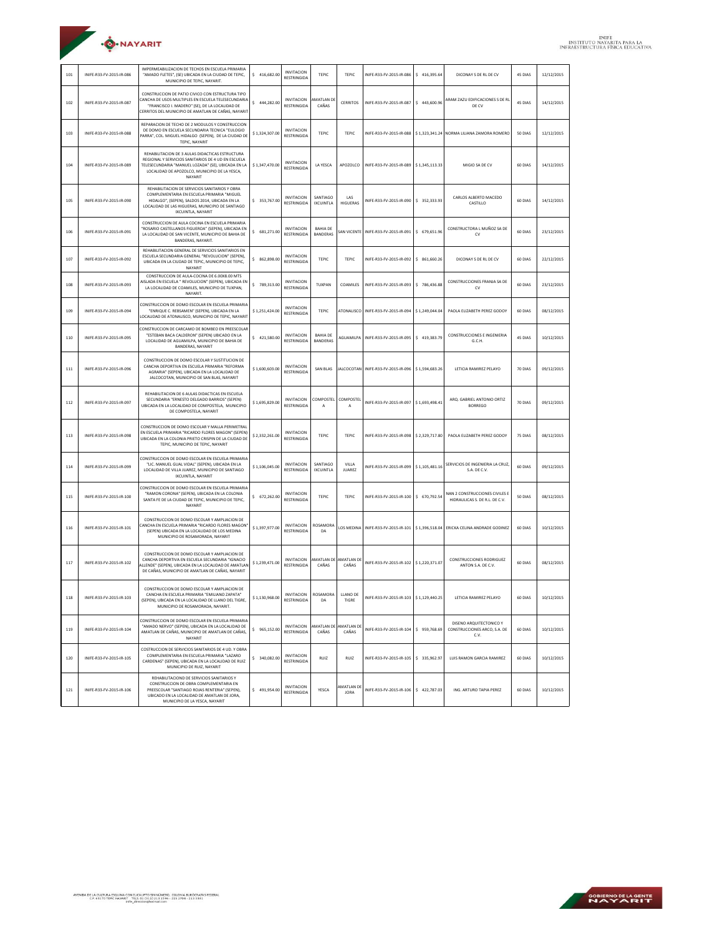

| 101 | INIFE-R33-FV-2015-IR-086 | IMPERMEABILIZACION DE TECHOS EN ESCUELA PRIMARIA<br>"AMADO FLETES". (SE) UBICADA EN LA CIUDAD DE TEPIC.<br>MUNICIPIO DE TEPIC, NAYARIT.                                                                                 | \$416,682.00   | <b>INVITACION</b><br><b>RESTRINGIDA</b> | TEPIC                              | TEPIC                    | INIFE-R33-FV-2015-IR-086                | \$416,395.64   | DICONAY S DE RL DE CV                                            | 45 DIAS | 12/12/2015 |
|-----|--------------------------|-------------------------------------------------------------------------------------------------------------------------------------------------------------------------------------------------------------------------|----------------|-----------------------------------------|------------------------------------|--------------------------|-----------------------------------------|----------------|------------------------------------------------------------------|---------|------------|
| 102 | INIFE-R33-FV-2015-IR-087 | CONSTRUCCION DE PATIO CIVICO CON ESTRUCTURA TIPO<br>CANCHA DE USOS MULTIPLES EN ESCUELA TELESECUNDARIA<br>"FRANCISCO I. MADERO" (SE), DE LA LOCALIDAD DE<br>CERRITOS DEL MUNICIPIO DE AMATLAN DE CAÑAS, NAYARIT         | \$444,282.00   | INVITACION<br><b>RESTRINGIDA</b>        | <b>MATLAN DI</b><br>CAÑAS          | <b>CERRITOS</b>          | INIFE-R33-FV-2015-IR-087                | \$443,600.96   | ARAM ZAZU EDIFICACIONES S DE RI<br>DE CV                         | 45 DIAS | 14/12/2015 |
| 103 | INIFE-R33-FV-2015-IR-088 | REPARACION DE TECHO DE 2 MODULOS Y CONSTRUCCION<br>DE DOMO EN ESCUELA SECUNDARIA TECNICA "EULOGIO<br>PARRA", COL. MIGUEL HIDALGO (SEPEN), DE LA CIUDAD DE<br>TEPIC, NAYARIT                                             | \$1,324,307.00 | <b>INVITACION</b><br>RESTRINGIDA        | <b>TEPIC</b>                       | TEPIC                    | INIFE-R33-FV-2015-IR-088                |                | \$1,323,341.24 NORMA LILIANA ZAMORA ROMERO                       | 50 DIAS | 12/12/2015 |
| 104 | INIFE-R33-FV-2015-IR-089 | REHABILITACION DE 3 AULAS DIDACTICAS ESTRUCTURA<br>REGIONAL Y SERVICIOS SANITARIOS DE 4 UD EN ESCUELA<br>TELESECUNDARIA "MANUEL LOZADA" (SE), UBICADA EN LA<br>LOCALIDAD DE APOZOLCO, MUNICIPIO DE LA YESCA,<br>NAYARIT | \$1,347,470.00 | <b>INVITACION</b><br><b>RESTRINGIDA</b> | LA YESCA                           | APOZOLCO                 | INIFE-R33-FV-2015-IR-089                | \$1,345,113.33 | MIGIO SA DE CV                                                   | 60 DIAS | 14/12/2015 |
| 105 | INIFE-R33-FV-2015-IR-090 | REHABILITACION DE SERVICIOS SANITARIOS Y OBRA<br>COMPLEMENTARIA EN ESCUELA PRIMARIA "MIGUEL<br>HIDALGO", (SEPEN), SALDOS 2014, UBICADA EN LA<br>LOCALIDAD DE LAS HIGUERAS, MUNICIPIO DE SANTIAGO<br>IXCUINTLA, NAYARIT  | \$ 353,767.00  | <b>INVITACION</b><br><b>RESTRINGIDA</b> | SANTIAGO<br><b>IXCUINTLA</b>       | LAS<br><b>HIGUERAS</b>   | INIFE-R33-FV-2015-IR-090                | \$ 352,333.93  | CARLOS ALBERTO MACEDO<br>CASTILLO                                | 60 DIAS | 14/12/2015 |
| 106 | INIFE-R33-FV-2015-IR-091 | CONSTRUCCION DE AULA COCINA EN ESCUELA PRIMARIA<br>"ROSARIO CASTELLANOS FIGUEROA" (SEPEN), UBICADA EN<br>LA LOCALIDAD DE SAN VICENTE. MUNICIPIO DE BAHIA DE<br>BANDERAS, NAYARIT.                                       | \$681,271.00   | <b>INVITACION</b><br><b>RESTRINGIDA</b> | <b>BAHIA DE</b><br><b>BANDERAS</b> |                          | SAN VICENTE   INIFE-R33-FV-2015-IR-091  | \$ 679,651.96  | CONSTRUCTORA L MUÑOZ SA DE<br>CV                                 | 60 DIAS | 23/12/2015 |
| 107 | INIFE-R33-FV-2015-IR-092 | REHABILITACION GENERAL DE SERVICIOS SANITARIOS EN<br>ESCUELA SECUNDARIA GENERAL "REVOLUCION" (SEPEN),<br>UBICADA EN LA CIUDAD DE TEPIC, MUNICIPIO DE TEPIC,<br>NAYARIT                                                  | \$862,898.00   | <b>INVITACION</b><br><b>RESTRINGIDA</b> | TEPIC                              | TEPIC                    | INIFE-R33-FV-2015-IR-092                | \$ 861,660.26  | DICONAY S DE RL DE CV                                            | 60 DIAS | 22/12/2015 |
| 108 | INIFE-R33-FV-2015-IR-093 | CONSTRUCCION DE AULA-COCINA DE 6.00X8.00 MTS<br>AISLADA EN ESCUELA " REVOLUCION" (SEPEN), UBICADA EN<br>LA LOCALIDAD DE COAMILES, MUNICIPIO DE TUXPAN,<br>NAYARIT.                                                      | \$789,313.00   | <b>INVITACION</b><br><b>RESTRINGIDA</b> | TUXPAN                             | COAMILES                 | INIFE-R33-FV-2015-IR-093                | \$786,436.88   | CONSTRUCCIONES FRANJA SA DE<br>CV                                | 60 DIAS | 23/12/2015 |
| 109 | INIFE-R33-FV-2015-IR-094 | CONSTRUCCION DE DOMO ESCOLAR EN ESCUELA PRIMARIA<br>"ENRIQUE C. REBSAMEN" (SEPEN), UBICADA EN LA<br>LOCALIDAD DE ATONALISCO, MUNICIPIO DE TEPIC, NAYARIT                                                                | \$1,251,424.00 | <b>INVITACION</b><br><b>RESTRINGIDA</b> | <b>TEPIC</b>                       |                          | ATONALISCO INIFE-R33-FV-2015-IR-094     | \$1,249,044.04 | PAOLA ELIZABETH PEREZ GODOY                                      | 60 DIAS | 08/12/2015 |
| 110 | INIFE-R33-FV-2015-IR-095 | CONSTRUCCION DE CARCAMO DE ROMREO EN PREESCOLAR<br>"ESTEBAN BACA CALDERON" (SEPEN) UBICADO EN LA<br>LOCALIDAD DE AGUAMILPA, MUNICIPIO DE BAHIA DE<br>BANDERAS, NAYARIT                                                  | \$421.580.00   | <b>INVITACION</b><br>RESTRINGIDA        | <b>BAHIA DE</b><br>BANDERAS        |                          | AGUAMILPA INIFE-R33-FV-2015-IR-095      | \$419,383.79   | <b>CONSTRUCCIONES E INGENIERIA</b><br>G.C.H.                     | 45 DIAS | 10/12/2015 |
| 111 | INIFE-R33-FV-2015-IR-096 | CONSTRUCCION DE DOMO ESCOLAR Y SUSTITUCION DE<br>CANCHA DEPORTIVA EN ESCUELA PRIMARIA "REFORMA<br>AGRARIA" (SEPEN), UBICADA EN LA LOCALIDAD DE<br>JALCOCOTAN, MUNICIPIO DE SAN BLAS, NAYARIT                            | \$1,600,603.00 | <b>INVITACION</b><br><b>RESTRINGIDA</b> | <b>SAN BLAS</b>                    |                          | JALCOCOTAN INIFE-R33-FV-2015-IR-096     | \$1,594,683.26 | LETICIA RAMIREZ PELAYO                                           | 70 DIAS | 09/12/2015 |
| 112 | INIFE-R33-FV-2015-IR-097 | REHABILITACION DE 6 AULAS DIDACTICAS EN ESCUELA<br>SECUNDARIA "ERNESTO DELGADO BARRIOS" (SEPEN)<br>UBICADA EN LA LOCALIDAD DE COMPOSTELA, MUNICIPIO<br>DE COMPOSTELA, NAYARIT                                           | \$1,695,829.00 | <b>INVITACION</b><br><b>RESTRINGIDA</b> | COMPOSTEL<br>А                     | COMPOSTE<br>А            | INIFE-R33-FV-2015-IR-097                | \$1,693,498.41 | ARO. GABRIEL ANTONIO ORTIZ<br><b>BORREGO</b>                     | 70 DIAS | 09/12/2015 |
| 113 | INIFE-R33-FV-2015-IR-098 | CONSTRUCCION DE DOMO ESCOLAR Y MALLA PERIMETRAL<br>EN ESCUELA PRIMARIA "RICARDO FLORES MAGON" (SEPEN)<br>UBICADA EN LA COLONIA PRIETO CRISPIN DE LA CIUDAD DE<br>TEPIC, MUNICIPIO DE TEPIC, NAYARIT                     | \$2,332,261.00 | INVITACION<br><b>RESTRINGIDA</b>        | <b>TEPIC</b>                       | <b>TEPIC</b>             | INIFE-R33-FV-2015-IR-098                | \$2,329,717.80 | PAOLA ELIZABETH PEREZ GODOY                                      | 75 DIAS | 08/12/2015 |
| 114 | INIFE-R33-FV-2015-IR-099 | CONSTRUCCION DE DOMO ESCOLAR EN ESCUELA PRIMARIA<br>"LIC. MANUEL GUAL VIDAL" (SEPEN), UBICADA EN LA<br>LOCALIDAD DE VILLA JUAREZ, MUNICIPIO DE SANTIAGO<br>IXCUINTLA, NAYARIT                                           | \$1,106,045.00 | <b>INVITACION</b><br><b>RESTRINGIDA</b> | SANTIAGO<br><b>IXCUINTLA</b>       | VILLA<br><b>JUAREZ</b>   | INIFE-R33-FV-2015-IR-099                | \$1,105,481.16 | SERVICIOS DE INGENIERIA LA CRUZ<br>S.A. DE C.V.                  | 60 DIAS | 09/12/2015 |
| 115 | INIFE-R33-FV-2015-IR-100 | CONSTRUCCION DE DOMO ESCOLAR EN ESCUELA PRIMARIA<br>"RAMON CORONA" (SEPEN), UBICADA EN LA COLONIA<br>SANTA FE DE LA CIUDAD DE TEPIC, MUNICIPIO DE TEPIC,<br>NAYARIT                                                     | \$672,262.00   | <b>INVITACION</b><br><b>RESTRINGIDA</b> | TEPIC                              | TEPIC                    | INIFE-R33-FV-2015-IR-100                | \$ 670,792.54  | NAN 2 CONSTRUCCIONES CIVILES E<br>HIDRAULICAS S. DE R.L. DE C.V. | 50 DIAS | 08/12/2015 |
| 116 | INIFE-R33-FV-2015-IR-101 | CONSTRUCCION DE DOMO ESCOLAR Y AMPLIACION DE<br>CANCHA EN ESCUELA PRIMARIA "RICARDO FLORES MAGON"<br>(SEPEN) UBICADA EN LA LOCALIDAD DE LOS MEDINA<br>MUNICIPIO DE ROSAMORADA, NAYARIT                                  | \$1,397,977.00 | <b>INVITACION</b><br><b>RESTRINGIDA</b> | ROSAMORA<br>DA                     |                          | LOS MEDINA INIFE-R33-FV-2015-IR-101     | \$1,396,518.04 | ERICKA CELINA ANDRADE GODINEZ                                    | 60 DIAS | 10/12/2015 |
| 117 | INIFE-R33-FV-2015-IR-102 | CONSTRUCCION DE DOMO ESCOLAR Y AMPLIACION DE<br>CANCHA DEPORTIVA EN ESCUELA SECUNDARIA "IGNACIO<br>LLENDE" (SEPEN), UBICADA EN LA LOCALIDAD DE AMATLAN<br>DE CAÑAS. MUNICIPIO DE AMATLAN DE CAÑAS. NAYARIT              | \$1,239,471.00 | <b>INVITACION</b><br><b>RESTRINGIDA</b> | AMATLAN DE<br>CAÑAS                | AMATLAN D<br>CAÑAS       | INIFE-R33-FV-2015-IR-102                | \$1,220,371.07 | <b>CONSTRUCCIONES RODRIGUEZ</b><br>ANTON S.A. DE C.V.            | 60 DIAS | 08/12/2015 |
| 118 | INIFE-R33-FV-2015-IR-103 | CONSTRUCCION DE DOMO ESCOLAR Y AMPLIACION DE<br>CANCHA EN ESCUELA PRIMARIA "EMILIANO ZAPATA"<br>(SEPEN), UBICADA EN LA LOCALIDAD DE LLANO DEL TIGRE,<br>MUNICIPIO DE ROSAMORADA, NAYARIT.                               | \$1,130,968.00 | <b>INVITACION</b><br><b>RESTRINGIDA</b> | <b>ROSAMORA</b><br>DA              | LLANO DE<br>TIGRE        | INIFE-R33-FV-2015-IR-103 \$1,129,440.25 |                | LETICIA RAMIREZ PELAYO                                           | 60 DIAS | 10/12/2015 |
| 119 | INIFE-R33-FV-2015-IR-104 | CONSTRUCCION DE DOMO ESCOLAR EN ESCUELA PRIMARIA<br>"AMADO NERVO" (SEPEN), UBICADA EN LA LOCALIDAD DE<br>AMATLAN DE CAÑAS. MUNICIPIO DE AMATLAN DE CAÑAS.<br>NAYARIT                                                    | \$965,152.00   | <b>INVITACION</b><br><b>RESTRINGIDA</b> | AMATLAN DE<br>CAÑAS                | MAATI AN DE<br>CAÑAS     | INIFE-R33-FV-2015-IR-104                | \$959,768.69   | DISENO AROUITECTONICO Y<br>CONSTRUCCIONES ARCO, S.A. DE<br>C.V.  | 60 DIAS | 10/12/2015 |
| 120 | INIFE-R33-FV-2015-IR-105 | COSTRUCCION DE SERVICIOS SANITARIOS DE 4 UD. Y ORRA<br>COMPLEMENTARIA EN ESCUELA PRIMARIA "LAZARO<br>CARDENAS" (SEPEN), UBICADA EN LA LOCALIDAD DE RUIZ<br>MUNICIPIO DE RUIZ, NAYARIT                                   | \$340,082.00   | <b>INVITACION</b><br><b>RESTRINGIDA</b> | RUIZ                               | RUIZ                     | INIFE-R33-FV-2015-IR-105                | \$ 335,962.97  | <b>I UIS RAMON GARCIA RAMIREZ</b>                                | 60 DIAS | 10/12/2015 |
| 121 | INIFE-R33-FV-2015-IR-106 | REHABILITACIOND DE SERVICIOS SANITARIOS Y<br>CONSTRUCCION DE OBRA COMPLEMENTARIA EN<br>PREESCOLAR "SANTIAGO ROJAS RENTERIA" (SEPEN),<br>UBICADO EN LA LOCALIDAD DE AMATLAN DE JORA.<br>MUNICIPIO DE LA YESCA, NAYARIT   | \$491,954.00   | <b>INVITACION</b><br><b>RESTRINGIDA</b> | YESCA                              | MATLAN DE<br><b>JORA</b> | INIFE-R33-FV-2015-IR-106                | \$422,787.03   | ING. ARTURO TAPIA PEREZ                                          | 60 DIAS | 10/12/2015 |